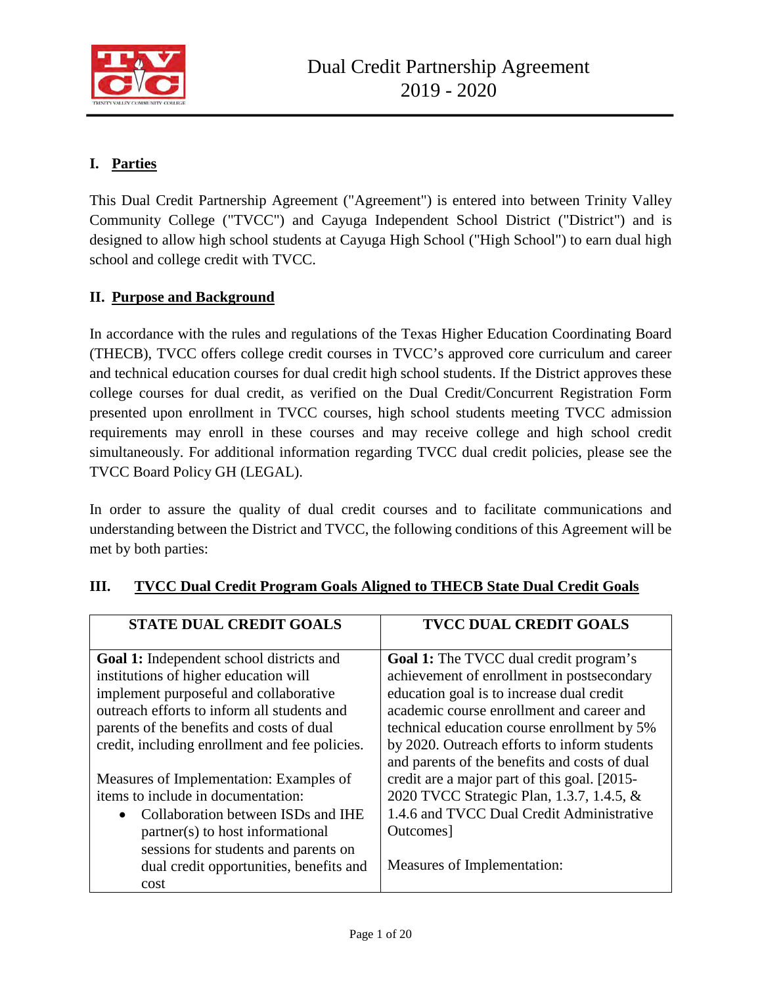

## **I. Parties**

This Dual Credit Partnership Agreement ("Agreement") is entered into between Trinity Valley Community College ("TVCC") and Cayuga Independent School District ("District") and is designed to allow high school students at Cayuga High School ("High School") to earn dual high school and college credit with TVCC.

### **II. Purpose and Background**

In accordance with the rules and regulations of the Texas Higher Education Coordinating Board (THECB), TVCC offers college credit courses in TVCC's approved core curriculum and career and technical education courses for dual credit high school students. If the District approves these college courses for dual credit, as verified on the Dual Credit/Concurrent Registration Form presented upon enrollment in TVCC courses, high school students meeting TVCC admission requirements may enroll in these courses and may receive college and high school credit simultaneously. For additional information regarding TVCC dual credit policies, please see the TVCC Board Policy GH (LEGAL).

In order to assure the quality of dual credit courses and to facilitate communications and understanding between the District and TVCC, the following conditions of this Agreement will be met by both parties:

| <b>STATE DUAL CREDIT GOALS</b>                  | <b>TVCC DUAL CREDIT GOALS</b>                 |
|-------------------------------------------------|-----------------------------------------------|
| <b>Goal 1:</b> Independent school districts and | <b>Goal 1:</b> The TVCC dual credit program's |
| institutions of higher education will           | achievement of enrollment in postsecondary    |
| implement purposeful and collaborative          | education goal is to increase dual credit     |
| outreach efforts to inform all students and     | academic course enrollment and career and     |
| parents of the benefits and costs of dual       | technical education course enrollment by 5%   |
| credit, including enrollment and fee policies.  | by 2020. Outreach efforts to inform students  |
|                                                 | and parents of the benefits and costs of dual |
| Measures of Implementation: Examples of         | credit are a major part of this goal. [2015-  |
| items to include in documentation:              | 2020 TVCC Strategic Plan, 1.3.7, 1.4.5, &     |
| Collaboration between ISDs and IHE              | 1.4.6 and TVCC Dual Credit Administrative     |
| partner(s) to host informational                | Outcomes]                                     |
| sessions for students and parents on            |                                               |
| dual credit opportunities, benefits and         | Measures of Implementation:                   |
| cost                                            |                                               |

## **III. TVCC Dual Credit Program Goals Aligned to THECB State Dual Credit Goals**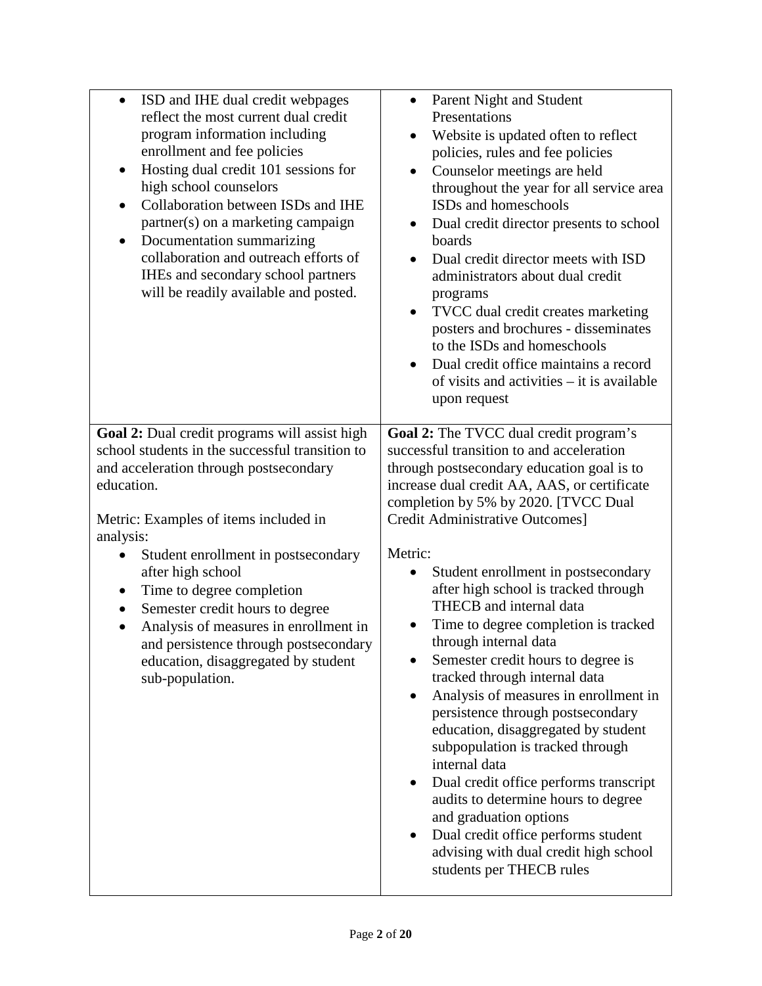| ISD and IHE dual credit webpages<br>$\bullet$<br>reflect the most current dual credit<br>program information including<br>enrollment and fee policies<br>Hosting dual credit 101 sessions for<br>$\bullet$<br>high school counselors<br>Collaboration between ISDs and IHE<br>$\bullet$<br>partner(s) on a marketing campaign<br>Documentation summarizing<br>$\bullet$<br>collaboration and outreach efforts of<br>IHEs and secondary school partners<br>will be readily available and posted.     | Parent Night and Student<br>$\bullet$<br>Presentations<br>Website is updated often to reflect<br>٠<br>policies, rules and fee policies<br>Counselor meetings are held<br>$\bullet$<br>throughout the year for all service area<br>ISDs and homeschools<br>Dual credit director presents to school<br>$\bullet$<br>boards<br>Dual credit director meets with ISD<br>$\bullet$<br>administrators about dual credit<br>programs<br>TVCC dual credit creates marketing<br>$\bullet$<br>posters and brochures - disseminates<br>to the ISDs and homeschools<br>Dual credit office maintains a record<br>of visits and activities - it is available<br>upon request                                                                                                                                                                                                                                                                                               |
|-----------------------------------------------------------------------------------------------------------------------------------------------------------------------------------------------------------------------------------------------------------------------------------------------------------------------------------------------------------------------------------------------------------------------------------------------------------------------------------------------------|-------------------------------------------------------------------------------------------------------------------------------------------------------------------------------------------------------------------------------------------------------------------------------------------------------------------------------------------------------------------------------------------------------------------------------------------------------------------------------------------------------------------------------------------------------------------------------------------------------------------------------------------------------------------------------------------------------------------------------------------------------------------------------------------------------------------------------------------------------------------------------------------------------------------------------------------------------------|
| Goal 2: Dual credit programs will assist high<br>school students in the successful transition to<br>and acceleration through postsecondary<br>education.<br>Metric: Examples of items included in<br>analysis:<br>Student enrollment in postsecondary<br>after high school<br>Time to degree completion<br>Semester credit hours to degree<br>$\bullet$<br>Analysis of measures in enrollment in<br>and persistence through postsecondary<br>education, disaggregated by student<br>sub-population. | <b>Goal 2:</b> The TVCC dual credit program's<br>successful transition to and acceleration<br>through postsecondary education goal is to<br>increase dual credit AA, AAS, or certificate<br>completion by 5% by 2020. [TVCC Dual<br>Credit Administrative Outcomes]<br>Metric:<br>Student enrollment in postsecondary<br>$\bullet$<br>after high school is tracked through<br>THECB and internal data<br>Time to degree completion is tracked<br>through internal data<br>Semester credit hours to degree is<br>tracked through internal data<br>Analysis of measures in enrollment in<br>$\bullet$<br>persistence through postsecondary<br>education, disaggregated by student<br>subpopulation is tracked through<br>internal data<br>Dual credit office performs transcript<br>audits to determine hours to degree<br>and graduation options<br>Dual credit office performs student<br>advising with dual credit high school<br>students per THECB rules |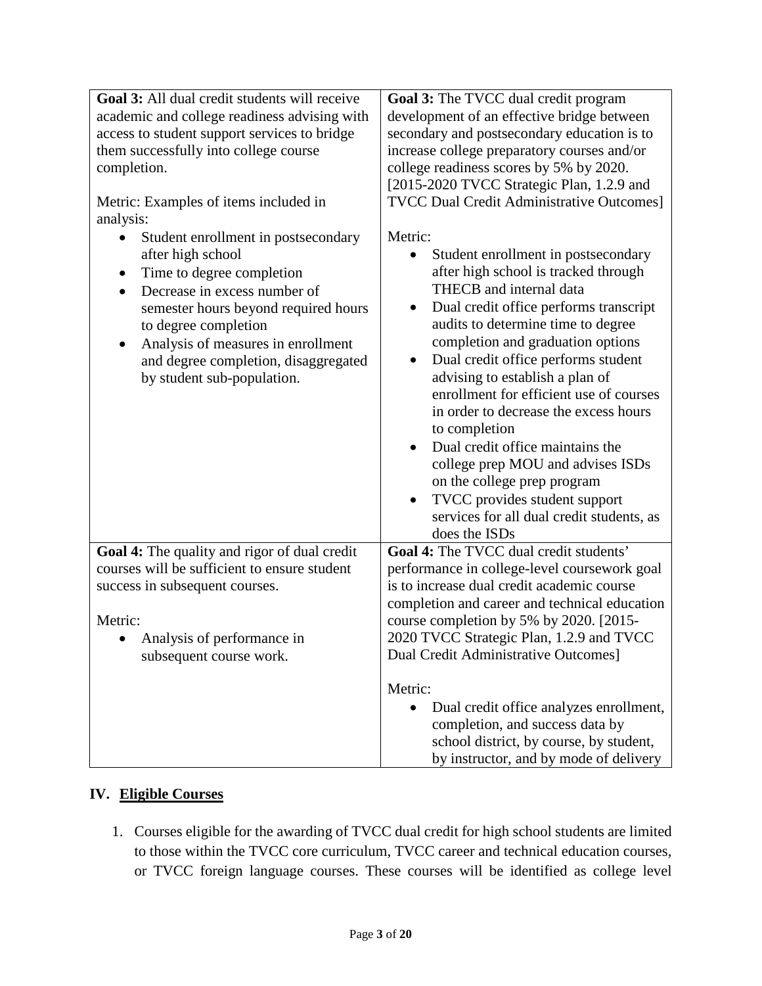| Goal 3: All dual credit students will receive<br>academic and college readiness advising with<br>access to student support services to bridge<br>them successfully into college course<br>completion.<br>Metric: Examples of items included in<br>analysis:<br>Student enrollment in postsecondary<br>after high school<br>Time to degree completion<br>$\bullet$<br>Decrease in excess number of<br>$\bullet$<br>semester hours beyond required hours<br>to degree completion<br>Analysis of measures in enrollment<br>$\bullet$<br>and degree completion, disaggregated<br>by student sub-population. | Goal 3: The TVCC dual credit program<br>development of an effective bridge between<br>secondary and postsecondary education is to<br>increase college preparatory courses and/or<br>college readiness scores by 5% by 2020.<br>[2015-2020 TVCC Strategic Plan, 1.2.9 and<br><b>TVCC Dual Credit Administrative Outcomes]</b><br>Metric:<br>Student enrollment in postsecondary<br>$\bullet$<br>after high school is tracked through<br>THECB and internal data<br>Dual credit office performs transcript<br>$\bullet$<br>audits to determine time to degree<br>completion and graduation options<br>Dual credit office performs student<br>$\bullet$<br>advising to establish a plan of<br>enrollment for efficient use of courses<br>in order to decrease the excess hours<br>to completion<br>Dual credit office maintains the<br>$\bullet$<br>college prep MOU and advises ISDs<br>on the college prep program<br>TVCC provides student support<br>$\bullet$<br>services for all dual credit students, as<br>does the ISDs |
|---------------------------------------------------------------------------------------------------------------------------------------------------------------------------------------------------------------------------------------------------------------------------------------------------------------------------------------------------------------------------------------------------------------------------------------------------------------------------------------------------------------------------------------------------------------------------------------------------------|-------------------------------------------------------------------------------------------------------------------------------------------------------------------------------------------------------------------------------------------------------------------------------------------------------------------------------------------------------------------------------------------------------------------------------------------------------------------------------------------------------------------------------------------------------------------------------------------------------------------------------------------------------------------------------------------------------------------------------------------------------------------------------------------------------------------------------------------------------------------------------------------------------------------------------------------------------------------------------------------------------------------------------|
| Goal 4: The quality and rigor of dual credit                                                                                                                                                                                                                                                                                                                                                                                                                                                                                                                                                            | Goal 4: The TVCC dual credit students'                                                                                                                                                                                                                                                                                                                                                                                                                                                                                                                                                                                                                                                                                                                                                                                                                                                                                                                                                                                        |
| courses will be sufficient to ensure student                                                                                                                                                                                                                                                                                                                                                                                                                                                                                                                                                            | performance in college-level coursework goal                                                                                                                                                                                                                                                                                                                                                                                                                                                                                                                                                                                                                                                                                                                                                                                                                                                                                                                                                                                  |
| success in subsequent courses.                                                                                                                                                                                                                                                                                                                                                                                                                                                                                                                                                                          | is to increase dual credit academic course<br>completion and career and technical education                                                                                                                                                                                                                                                                                                                                                                                                                                                                                                                                                                                                                                                                                                                                                                                                                                                                                                                                   |
| Metric:                                                                                                                                                                                                                                                                                                                                                                                                                                                                                                                                                                                                 | course completion by 5% by 2020. [2015-                                                                                                                                                                                                                                                                                                                                                                                                                                                                                                                                                                                                                                                                                                                                                                                                                                                                                                                                                                                       |
| Analysis of performance in                                                                                                                                                                                                                                                                                                                                                                                                                                                                                                                                                                              | 2020 TVCC Strategic Plan, 1.2.9 and TVCC                                                                                                                                                                                                                                                                                                                                                                                                                                                                                                                                                                                                                                                                                                                                                                                                                                                                                                                                                                                      |
| subsequent course work.                                                                                                                                                                                                                                                                                                                                                                                                                                                                                                                                                                                 | Dual Credit Administrative Outcomes]                                                                                                                                                                                                                                                                                                                                                                                                                                                                                                                                                                                                                                                                                                                                                                                                                                                                                                                                                                                          |
|                                                                                                                                                                                                                                                                                                                                                                                                                                                                                                                                                                                                         |                                                                                                                                                                                                                                                                                                                                                                                                                                                                                                                                                                                                                                                                                                                                                                                                                                                                                                                                                                                                                               |
|                                                                                                                                                                                                                                                                                                                                                                                                                                                                                                                                                                                                         | Metric:<br>Dual credit office analyzes enrollment,<br>$\bullet$<br>completion, and success data by<br>school district, by course, by student,<br>by instructor, and by mode of delivery                                                                                                                                                                                                                                                                                                                                                                                                                                                                                                                                                                                                                                                                                                                                                                                                                                       |

### **IV. Eligible Courses**

1. Courses eligible for the awarding of TVCC dual credit for high school students are limited to those within the TVCC core curriculum, TVCC career and technical education courses, or TVCC foreign language courses. These courses will be identified as college level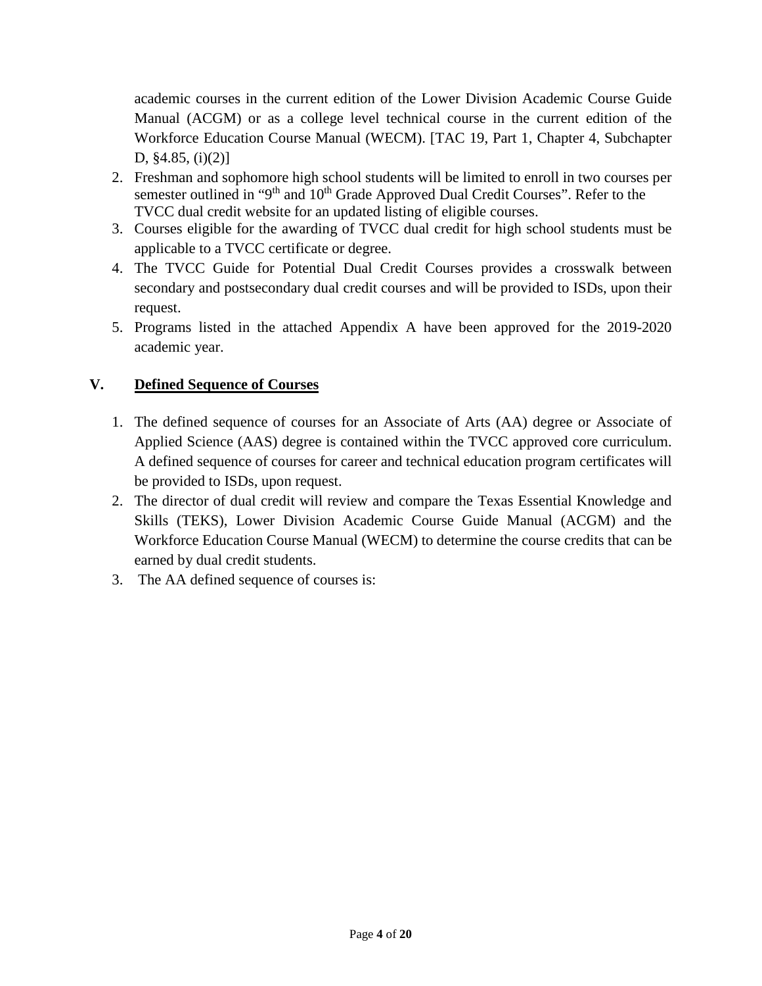academic courses in the current edition of the Lower Division Academic Course Guide Manual (ACGM) or as a college level technical course in the current edition of the Workforce Education Course Manual (WECM). [TAC 19, Part 1, Chapter 4, Subchapter D, §4.85, (i)(2)]

- 2. Freshman and sophomore high school students will be limited to enroll in two courses per semester outlined in "9<sup>th</sup> and 10<sup>th</sup> Grade Approved Dual Credit Courses". Refer to the TVCC dual credit website for an updated listing of eligible courses.
- 3. Courses eligible for the awarding of TVCC dual credit for high school students must be applicable to a TVCC certificate or degree.
- 4. The TVCC Guide for Potential Dual Credit Courses provides a crosswalk between secondary and postsecondary dual credit courses and will be provided to ISDs, upon their request.
- 5. Programs listed in the attached Appendix A have been approved for the 2019-2020 academic year.

## **V. Defined Sequence of Courses**

- 1. The defined sequence of courses for an Associate of Arts (AA) degree or Associate of Applied Science (AAS) degree is contained within the TVCC approved core curriculum. A defined sequence of courses for career and technical education program certificates will be provided to ISDs, upon request.
- 2. The director of dual credit will review and compare the Texas Essential Knowledge and Skills (TEKS), Lower Division Academic Course Guide Manual (ACGM) and the Workforce Education Course Manual (WECM) to determine the course credits that can be earned by dual credit students.
- 3. The AA defined sequence of courses is: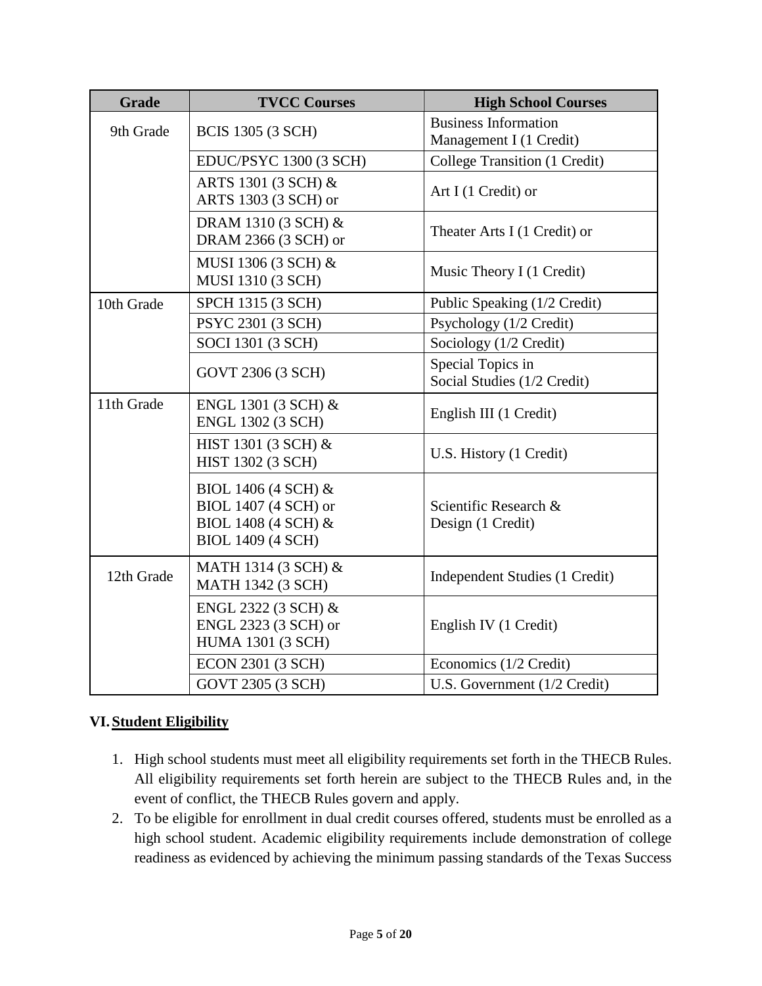| <b>Grade</b> | <b>TVCC Courses</b>                                                                            | <b>High School Courses</b>                             |
|--------------|------------------------------------------------------------------------------------------------|--------------------------------------------------------|
| 9th Grade    | <b>BCIS 1305 (3 SCH)</b>                                                                       | <b>Business Information</b><br>Management I (1 Credit) |
|              | EDUC/PSYC 1300 (3 SCH)                                                                         | College Transition (1 Credit)                          |
|              | ARTS 1301 (3 SCH) &<br>ARTS 1303 (3 SCH) or                                                    | Art I (1 Credit) or                                    |
|              | DRAM 1310 (3 SCH) &<br>DRAM 2366 (3 SCH) or                                                    | Theater Arts I (1 Credit) or                           |
|              | MUSI 1306 (3 SCH) &<br>MUSI 1310 (3 SCH)                                                       | Music Theory I (1 Credit)                              |
| 10th Grade   | SPCH 1315 (3 SCH)                                                                              | Public Speaking (1/2 Credit)                           |
|              | PSYC 2301 (3 SCH)                                                                              | Psychology (1/2 Credit)                                |
|              | SOCI 1301 (3 SCH)                                                                              | Sociology (1/2 Credit)                                 |
|              | GOVT 2306 (3 SCH)                                                                              | Special Topics in<br>Social Studies (1/2 Credit)       |
| 11th Grade   | ENGL 1301 (3 SCH) &<br><b>ENGL 1302 (3 SCH)</b>                                                | English III (1 Credit)                                 |
|              | HIST 1301 (3 SCH) &<br><b>HIST 1302 (3 SCH)</b>                                                | U.S. History (1 Credit)                                |
|              | BIOL 1406 (4 SCH) &<br>BIOL 1407 (4 SCH) or<br>BIOL 1408 (4 SCH) &<br><b>BIOL 1409 (4 SCH)</b> | Scientific Research &<br>Design (1 Credit)             |
| 12th Grade   | MATH 1314 (3 SCH) &<br><b>MATH 1342 (3 SCH)</b>                                                | Independent Studies (1 Credit)                         |
|              | ENGL 2322 (3 SCH) &<br>ENGL 2323 (3 SCH) or<br><b>HUMA 1301 (3 SCH)</b>                        | English IV (1 Credit)                                  |
|              | ECON 2301 (3 SCH)                                                                              | Economics (1/2 Credit)                                 |
|              | GOVT 2305 (3 SCH)                                                                              | U.S. Government (1/2 Credit)                           |

## **VI. Student Eligibility**

- 1. High school students must meet all eligibility requirements set forth in the THECB Rules. All eligibility requirements set forth herein are subject to the THECB Rules and, in the event of conflict, the THECB Rules govern and apply.
- 2. To be eligible for enrollment in dual credit courses offered, students must be enrolled as a high school student. Academic eligibility requirements include demonstration of college readiness as evidenced by achieving the minimum passing standards of the Texas Success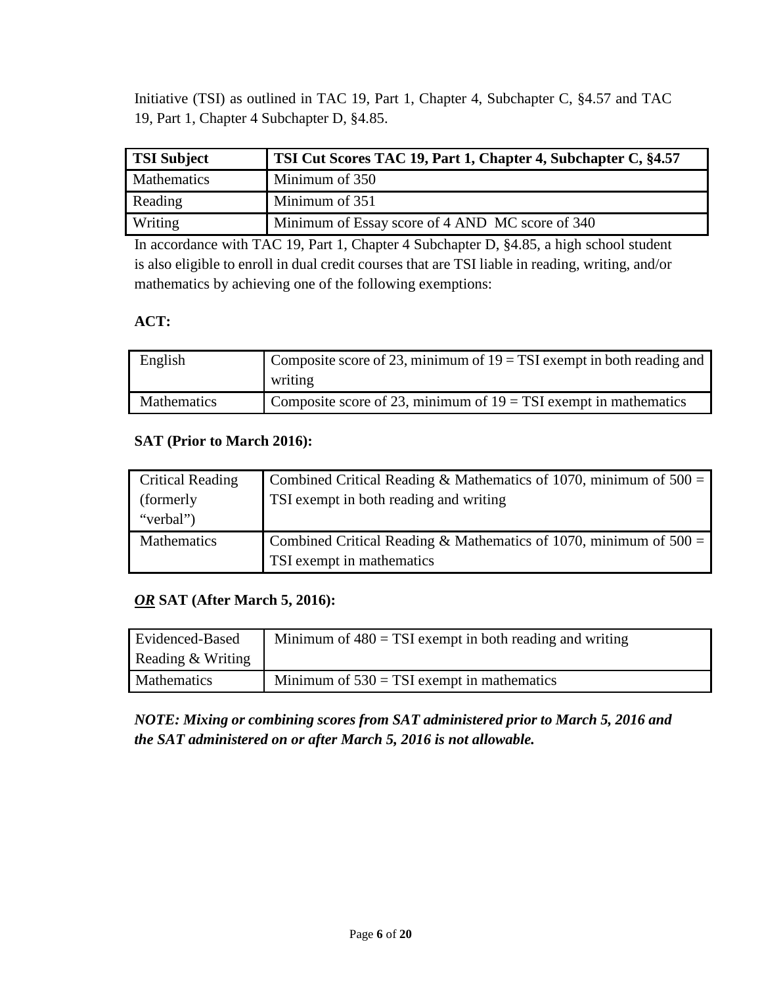Initiative (TSI) as outlined in TAC 19, Part 1, Chapter 4, Subchapter C, §4.57 and TAC 19, Part 1, Chapter 4 Subchapter D, §4.85.

| <b>TSI Subject</b> | TSI Cut Scores TAC 19, Part 1, Chapter 4, Subchapter C, §4.57 |
|--------------------|---------------------------------------------------------------|
| <b>Mathematics</b> | Minimum of 350                                                |
| Reading            | Minimum of 351                                                |
| Writing            | Minimum of Essay score of 4 AND MC score of 340               |

In accordance with TAC 19, Part 1, Chapter 4 Subchapter D, §4.85, a high school student is also eligible to enroll in dual credit courses that are TSI liable in reading, writing, and/or mathematics by achieving one of the following exemptions:

### **ACT:**

| English            | Composite score of 23, minimum of $19 = TSI$ exempt in both reading and |
|--------------------|-------------------------------------------------------------------------|
|                    | writing                                                                 |
| <b>Mathematics</b> | Composite score of 23, minimum of $19 = TSI$ exempt in mathematics      |

### **SAT (Prior to March 2016):**

| <b>Critical Reading</b> | Combined Critical Reading & Mathematics of 1070, minimum of $500 =$ |
|-------------------------|---------------------------------------------------------------------|
| (formerly)              | TSI exempt in both reading and writing                              |
| "verbal")               |                                                                     |
| Mathematics             | Combined Critical Reading & Mathematics of 1070, minimum of $500 =$ |
|                         | TSI exempt in mathematics                                           |

### *OR* **SAT (After March 5, 2016):**

| Evidenced-Based    | Minimum of $480 = TSI$ exempt in both reading and writing |
|--------------------|-----------------------------------------------------------|
| Reading & Writing  |                                                           |
| <b>Mathematics</b> | Minimum of $530 = TSI$ exempt in mathematics              |

*NOTE: Mixing or combining scores from SAT administered prior to March 5, 2016 and the SAT administered on or after March 5, 2016 is not allowable.*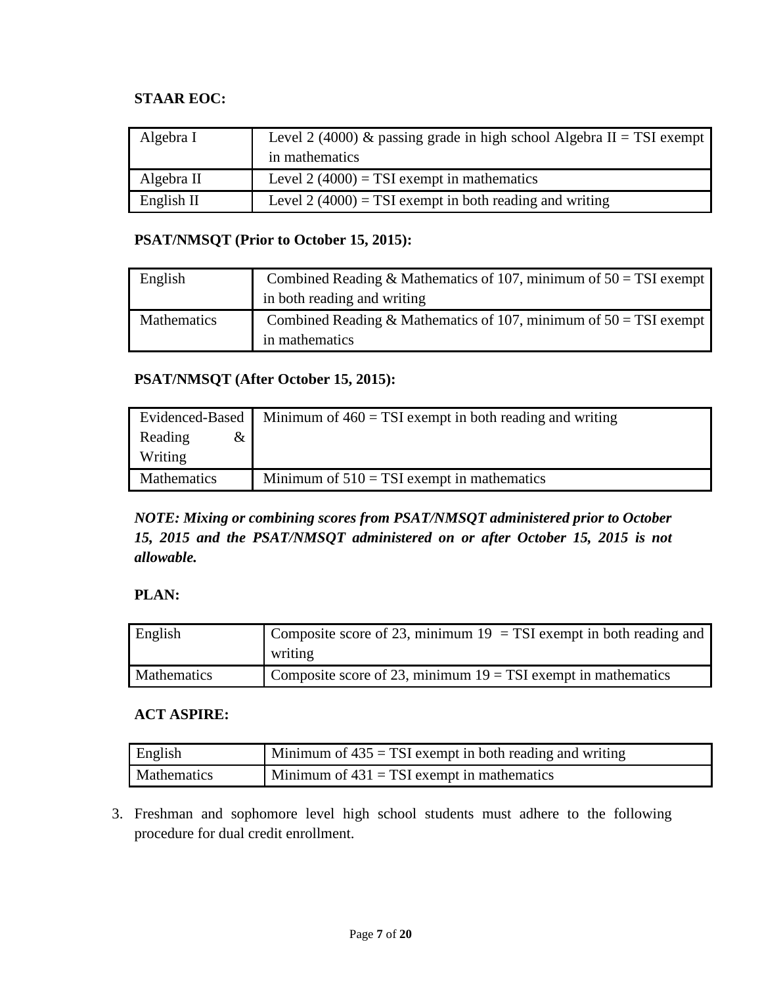### **STAAR EOC:**

| Algebra I  | Level 2 (4000) & passing grade in high school Algebra II = TSI exempt<br>in mathematics |
|------------|-----------------------------------------------------------------------------------------|
| Algebra II | Level 2 (4000) = TSI exempt in mathematics                                              |
| English II | Level 2 (4000) = TSI exempt in both reading and writing                                 |

#### **PSAT/NMSQT (Prior to October 15, 2015):**

| English     | Combined Reading & Mathematics of 107, minimum of $50 = TSI$ exempt |
|-------------|---------------------------------------------------------------------|
|             | in both reading and writing                                         |
| Mathematics | Combined Reading & Mathematics of 107, minimum of $50 = TSI$ exempt |
|             | in mathematics                                                      |

### **PSAT/NMSQT (After October 15, 2015):**

|                    | Evidenced-Based   Minimum of $460 = TSI$ exempt in both reading and writing |
|--------------------|-----------------------------------------------------------------------------|
| Reading<br>&       |                                                                             |
| Writing            |                                                                             |
| <b>Mathematics</b> | Minimum of $510 = TSI$ exempt in mathematics                                |

## *NOTE: Mixing or combining scores from PSAT/NMSQT administered prior to October 15, 2015 and the PSAT/NMSQT administered on or after October 15, 2015 is not allowable.*

### **PLAN:**

| English     | Composite score of 23, minimum $19 = TSI$ exempt in both reading and |
|-------------|----------------------------------------------------------------------|
|             | writing                                                              |
| Mathematics | Composite score of 23, minimum $19 = TSI$ exempt in mathematics      |

### **ACT ASPIRE:**

| English     | $\sim$ Minimum of 435 = TSI exempt in both reading and writing |
|-------------|----------------------------------------------------------------|
| Mathematics | Minimum of $431 = TSI$ exempt in mathematics                   |

3. Freshman and sophomore level high school students must adhere to the following procedure for dual credit enrollment.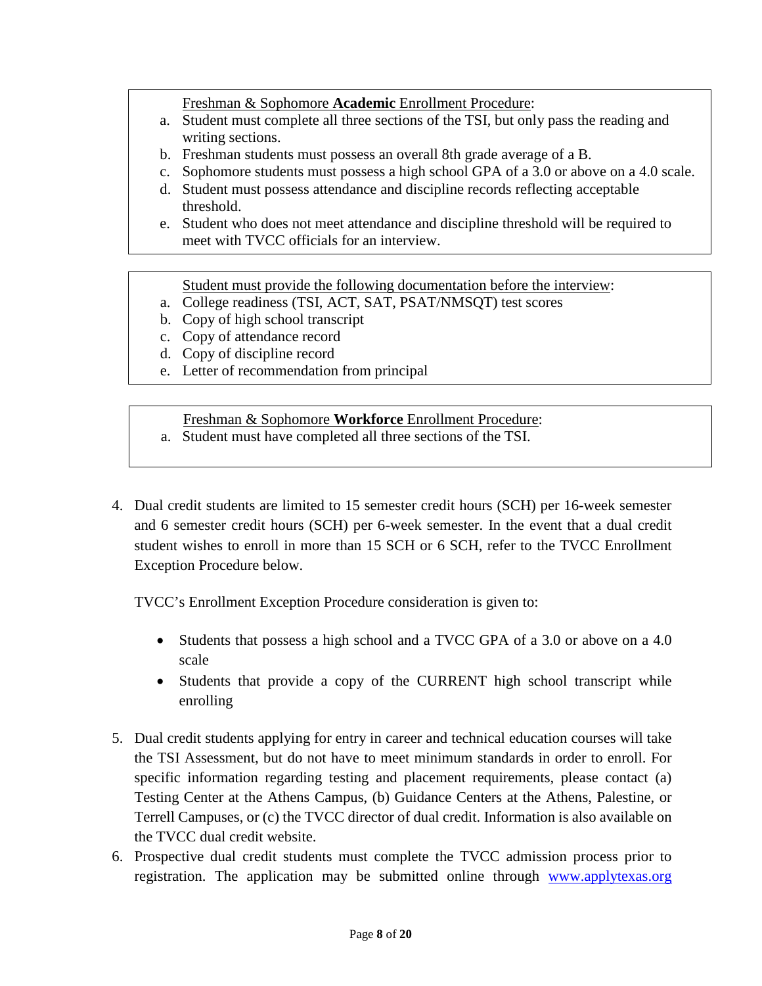Freshman & Sophomore **Academic** Enrollment Procedure:

- a. Student must complete all three sections of the TSI, but only pass the reading and writing sections.
- b. Freshman students must possess an overall 8th grade average of a B.
- c. Sophomore students must possess a high school GPA of a 3.0 or above on a 4.0 scale.
- d. Student must possess attendance and discipline records reflecting acceptable threshold.
- e. Student who does not meet attendance and discipline threshold will be required to meet with TVCC officials for an interview.

Student must provide the following documentation before the interview:

- a. College readiness (TSI, ACT, SAT, PSAT/NMSQT) test scores
- b. Copy of high school transcript
- c. Copy of attendance record
- d. Copy of discipline record
- e. Letter of recommendation from principal

Freshman & Sophomore **Workforce** Enrollment Procedure:

- a. Student must have completed all three sections of the TSI.
- 4. Dual credit students are limited to 15 semester credit hours (SCH) per 16-week semester and 6 semester credit hours (SCH) per 6-week semester. In the event that a dual credit student wishes to enroll in more than 15 SCH or 6 SCH, refer to the TVCC Enrollment Exception Procedure below.

TVCC's Enrollment Exception Procedure consideration is given to:

- Students that possess a high school and a TVCC GPA of a 3.0 or above on a 4.0 scale
- Students that provide a copy of the CURRENT high school transcript while enrolling
- 5. Dual credit students applying for entry in career and technical education courses will take the TSI Assessment, but do not have to meet minimum standards in order to enroll. For specific information regarding testing and placement requirements, please contact (a) Testing Center at the Athens Campus, (b) Guidance Centers at the Athens, Palestine, or Terrell Campuses, or (c) the TVCC director of dual credit. Information is also available on the TVCC dual credit website.
- 6. Prospective dual credit students must complete the TVCC admission process prior to registration. The application may be submitted online through www.applytexas.org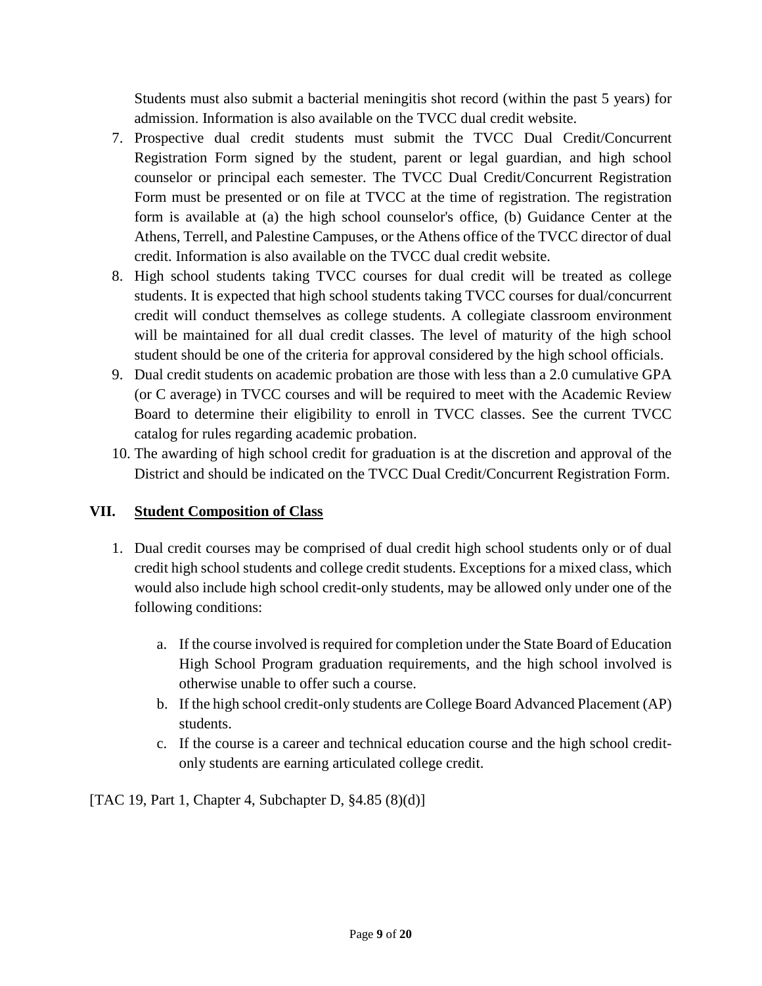Students must also submit a bacterial meningitis shot record (within the past 5 years) for admission. Information is also available on the TVCC dual credit website.

- 7. Prospective dual credit students must submit the TVCC Dual Credit/Concurrent Registration Form signed by the student, parent or legal guardian, and high school counselor or principal each semester. The TVCC Dual Credit/Concurrent Registration Form must be presented or on file at TVCC at the time of registration. The registration form is available at (a) the high school counselor's office, (b) Guidance Center at the Athens, Terrell, and Palestine Campuses, or the Athens office of the TVCC director of dual credit. Information is also available on the TVCC dual credit website.
- 8. High school students taking TVCC courses for dual credit will be treated as college students. It is expected that high school students taking TVCC courses for dual/concurrent credit will conduct themselves as college students. A collegiate classroom environment will be maintained for all dual credit classes. The level of maturity of the high school student should be one of the criteria for approval considered by the high school officials.
- 9. Dual credit students on academic probation are those with less than a 2.0 cumulative GPA (or C average) in TVCC courses and will be required to meet with the Academic Review Board to determine their eligibility to enroll in TVCC classes. See the current TVCC catalog for rules regarding academic probation.
- 10. The awarding of high school credit for graduation is at the discretion and approval of the District and should be indicated on the TVCC Dual Credit/Concurrent Registration Form.

## **VII. Student Composition of Class**

- 1. Dual credit courses may be comprised of dual credit high school students only or of dual credit high school students and college credit students. Exceptions for a mixed class, which would also include high school credit-only students, may be allowed only under one of the following conditions:
	- a. If the course involved is required for completion under the State Board of Education High School Program graduation requirements, and the high school involved is otherwise unable to offer such a course.
	- b. If the high school credit-only students are College Board Advanced Placement (AP) students.
	- c. If the course is a career and technical education course and the high school creditonly students are earning articulated college credit.

[TAC 19, Part 1, Chapter 4, Subchapter D, §4.85 (8)(d)]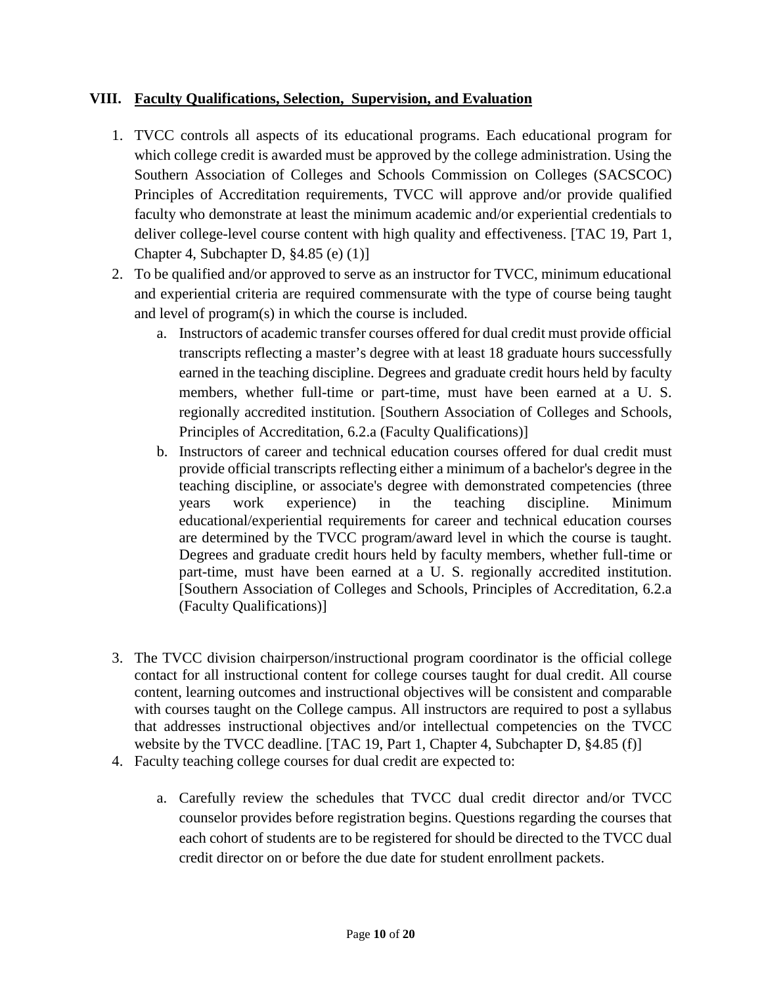#### **VIII. Faculty Qualifications, Selection, Supervision, and Evaluation**

- 1. TVCC controls all aspects of its educational programs. Each educational program for which college credit is awarded must be approved by the college administration. Using the Southern Association of Colleges and Schools Commission on Colleges (SACSCOC) Principles of Accreditation requirements, TVCC will approve and/or provide qualified faculty who demonstrate at least the minimum academic and/or experiential credentials to deliver college-level course content with high quality and effectiveness. [TAC 19, Part 1, Chapter 4, Subchapter D, §4.85 (e) (1)]
- 2. To be qualified and/or approved to serve as an instructor for TVCC, minimum educational and experiential criteria are required commensurate with the type of course being taught and level of program(s) in which the course is included.
	- a. Instructors of academic transfer courses offered for dual credit must provide official transcripts reflecting a master's degree with at least 18 graduate hours successfully earned in the teaching discipline. Degrees and graduate credit hours held by faculty members, whether full-time or part-time, must have been earned at a U. S. regionally accredited institution. [Southern Association of Colleges and Schools, Principles of Accreditation, 6.2.a (Faculty Qualifications)]
	- b. Instructors of career and technical education courses offered for dual credit must provide official transcripts reflecting either a minimum of a bachelor's degree in the teaching discipline, or associate's degree with demonstrated competencies (three years work experience) in the teaching discipline. Minimum educational/experiential requirements for career and technical education courses are determined by the TVCC program/award level in which the course is taught. Degrees and graduate credit hours held by faculty members, whether full-time or part-time, must have been earned at a U. S. regionally accredited institution. [Southern Association of Colleges and Schools, Principles of Accreditation, 6.2.a (Faculty Qualifications)]
- 3. The TVCC division chairperson/instructional program coordinator is the official college contact for all instructional content for college courses taught for dual credit. All course content, learning outcomes and instructional objectives will be consistent and comparable with courses taught on the College campus. All instructors are required to post a syllabus that addresses instructional objectives and/or intellectual competencies on the TVCC website by the TVCC deadline. [TAC 19, Part 1, Chapter 4, Subchapter D, §4.85 (f)]
- 4. Faculty teaching college courses for dual credit are expected to:
	- a. Carefully review the schedules that TVCC dual credit director and/or TVCC counselor provides before registration begins. Questions regarding the courses that each cohort of students are to be registered for should be directed to the TVCC dual credit director on or before the due date for student enrollment packets.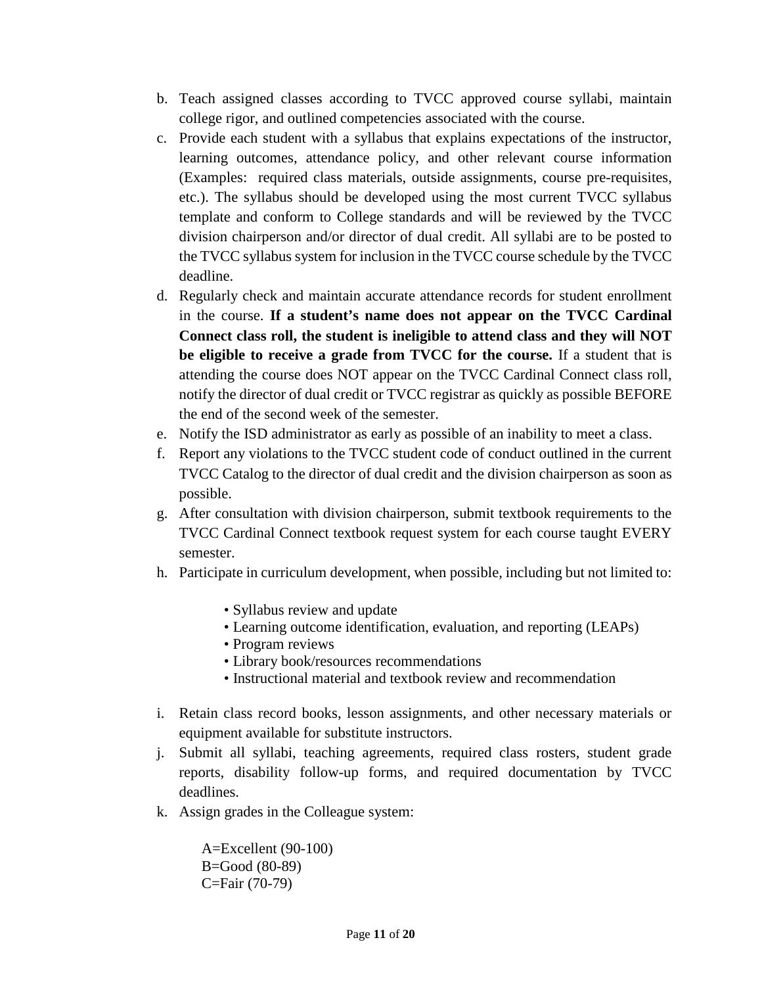- b. Teach assigned classes according to TVCC approved course syllabi, maintain college rigor, and outlined competencies associated with the course.
- c. Provide each student with a syllabus that explains expectations of the instructor, learning outcomes, attendance policy, and other relevant course information (Examples: required class materials, outside assignments, course pre-requisites, etc.). The syllabus should be developed using the most current TVCC syllabus template and conform to College standards and will be reviewed by the TVCC division chairperson and/or director of dual credit. All syllabi are to be posted to the TVCC syllabus system for inclusion in the TVCC course schedule by the TVCC deadline.
- d. Regularly check and maintain accurate attendance records for student enrollment in the course. **If a student's name does not appear on the TVCC Cardinal Connect class roll, the student is ineligible to attend class and they will NOT be eligible to receive a grade from TVCC for the course.** If a student that is attending the course does NOT appear on the TVCC Cardinal Connect class roll, notify the director of dual credit or TVCC registrar as quickly as possible BEFORE the end of the second week of the semester.
- e. Notify the ISD administrator as early as possible of an inability to meet a class.
- f. Report any violations to the TVCC student code of conduct outlined in the current TVCC Catalog to the director of dual credit and the division chairperson as soon as possible.
- g. After consultation with division chairperson, submit textbook requirements to the TVCC Cardinal Connect textbook request system for each course taught EVERY semester.
- h. Participate in curriculum development, when possible, including but not limited to:
	- Syllabus review and update
	- Learning outcome identification, evaluation, and reporting (LEAPs)
	- Program reviews
	- Library book/resources recommendations
	- Instructional material and textbook review and recommendation
- i. Retain class record books, lesson assignments, and other necessary materials or equipment available for substitute instructors.
- j. Submit all syllabi, teaching agreements, required class rosters, student grade reports, disability follow-up forms, and required documentation by TVCC deadlines.
- k. Assign grades in the Colleague system:

A=Excellent (90-100) B=Good (80-89) C=Fair (70-79)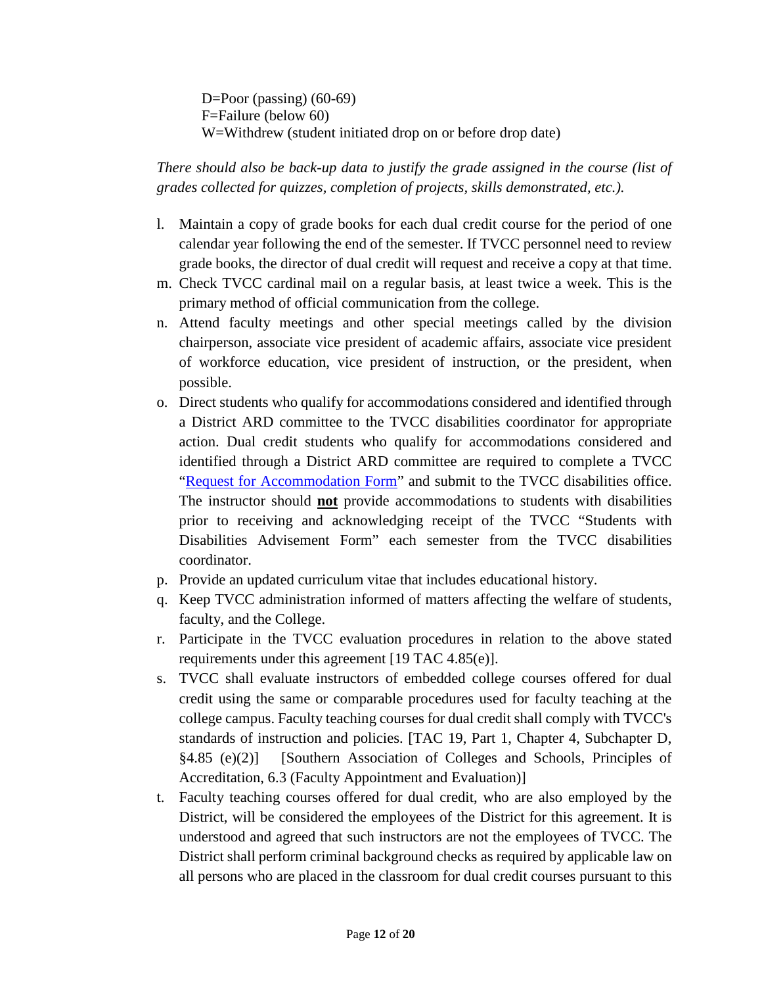D=Poor (passing)  $(60-69)$ F=Failure (below 60) W=Withdrew (student initiated drop on or before drop date)

*There should also be back-up data to justify the grade assigned in the course (list of grades collected for quizzes, completion of projects, skills demonstrated, etc.).* 

- l. Maintain a copy of grade books for each dual credit course for the period of one calendar year following the end of the semester. If TVCC personnel need to review grade books, the director of dual credit will request and receive a copy at that time.
- m. Check TVCC cardinal mail on a regular basis, at least twice a week. This is the primary method of official communication from the college.
- n. Attend faculty meetings and other special meetings called by the division chairperson, associate vice president of academic affairs, associate vice president of workforce education, vice president of instruction, or the president, when possible.
- o. Direct students who qualify for accommodations considered and identified through a District ARD committee to the TVCC disabilities coordinator for appropriate action. Dual credit students who qualify for accommodations considered and identified through a District ARD committee are required to complete a TVCC ["Request for Accommodation Form"](https://www.tvcc.edu/CAPS/files/Request%20for%20Accommodations%20FormUpdated%20Spring2015.pdf) and submit to the TVCC disabilities office. The instructor should **not** provide accommodations to students with disabilities prior to receiving and acknowledging receipt of the TVCC "Students with Disabilities Advisement Form" each semester from the TVCC disabilities coordinator.
- p. Provide an updated curriculum vitae that includes educational history.
- q. Keep TVCC administration informed of matters affecting the welfare of students, faculty, and the College.
- r. Participate in the TVCC evaluation procedures in relation to the above stated requirements under this agreement [19 TAC 4.85(e)].
- s. TVCC shall evaluate instructors of embedded college courses offered for dual credit using the same or comparable procedures used for faculty teaching at the college campus. Faculty teaching courses for dual credit shall comply with TVCC's standards of instruction and policies. [TAC 19, Part 1, Chapter 4, Subchapter D, §4.85 (e)(2)] [Southern Association of Colleges and Schools, Principles of Accreditation, 6.3 (Faculty Appointment and Evaluation)]
- t. Faculty teaching courses offered for dual credit, who are also employed by the District, will be considered the employees of the District for this agreement. It is understood and agreed that such instructors are not the employees of TVCC. The District shall perform criminal background checks as required by applicable law on all persons who are placed in the classroom for dual credit courses pursuant to this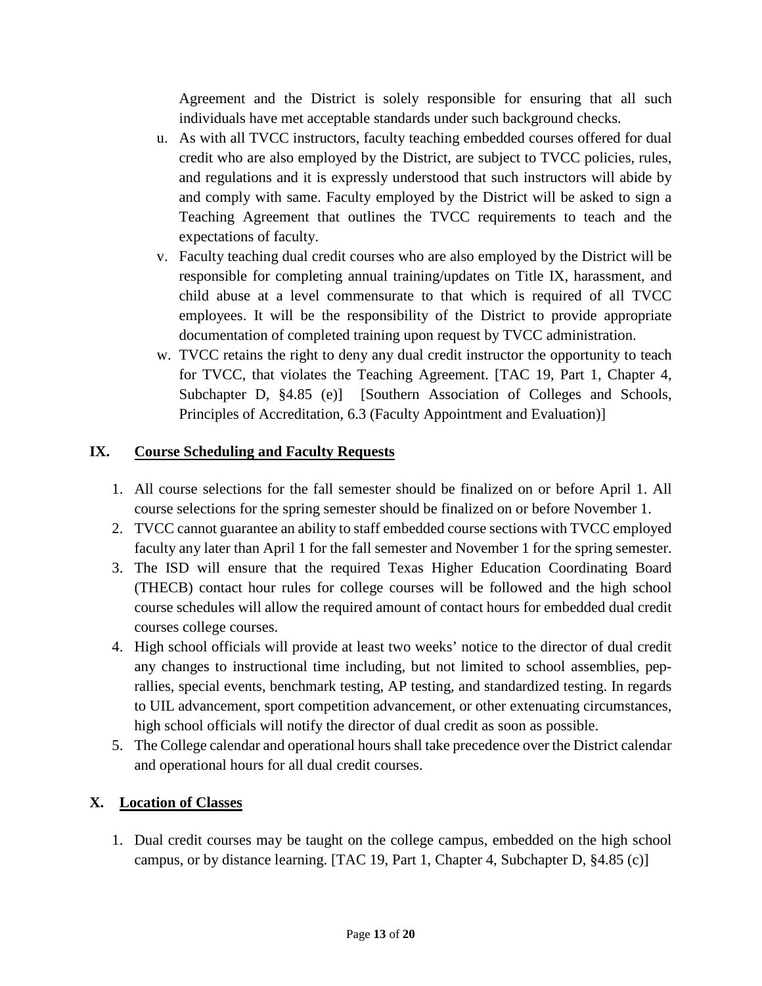Agreement and the District is solely responsible for ensuring that all such individuals have met acceptable standards under such background checks.

- u. As with all TVCC instructors, faculty teaching embedded courses offered for dual credit who are also employed by the District, are subject to TVCC policies, rules, and regulations and it is expressly understood that such instructors will abide by and comply with same. Faculty employed by the District will be asked to sign a Teaching Agreement that outlines the TVCC requirements to teach and the expectations of faculty.
- v. Faculty teaching dual credit courses who are also employed by the District will be responsible for completing annual training/updates on Title IX, harassment, and child abuse at a level commensurate to that which is required of all TVCC employees. It will be the responsibility of the District to provide appropriate documentation of completed training upon request by TVCC administration.
- w. TVCC retains the right to deny any dual credit instructor the opportunity to teach for TVCC, that violates the Teaching Agreement. [TAC 19, Part 1, Chapter 4, Subchapter D, §4.85 (e)] [Southern Association of Colleges and Schools, Principles of Accreditation, 6.3 (Faculty Appointment and Evaluation)]

### **IX. Course Scheduling and Faculty Requests**

- 1. All course selections for the fall semester should be finalized on or before April 1. All course selections for the spring semester should be finalized on or before November 1.
- 2. TVCC cannot guarantee an ability to staff embedded course sections with TVCC employed faculty any later than April 1 for the fall semester and November 1 for the spring semester.
- 3. The ISD will ensure that the required Texas Higher Education Coordinating Board (THECB) contact hour rules for college courses will be followed and the high school course schedules will allow the required amount of contact hours for embedded dual credit courses college courses.
- 4. High school officials will provide at least two weeks' notice to the director of dual credit any changes to instructional time including, but not limited to school assemblies, peprallies, special events, benchmark testing, AP testing, and standardized testing. In regards to UIL advancement, sport competition advancement, or other extenuating circumstances, high school officials will notify the director of dual credit as soon as possible.
- 5. The College calendar and operational hours shall take precedence over the District calendar and operational hours for all dual credit courses.

### **X. Location of Classes**

1. Dual credit courses may be taught on the college campus, embedded on the high school campus, or by distance learning. [TAC 19, Part 1, Chapter 4, Subchapter D, §4.85 (c)]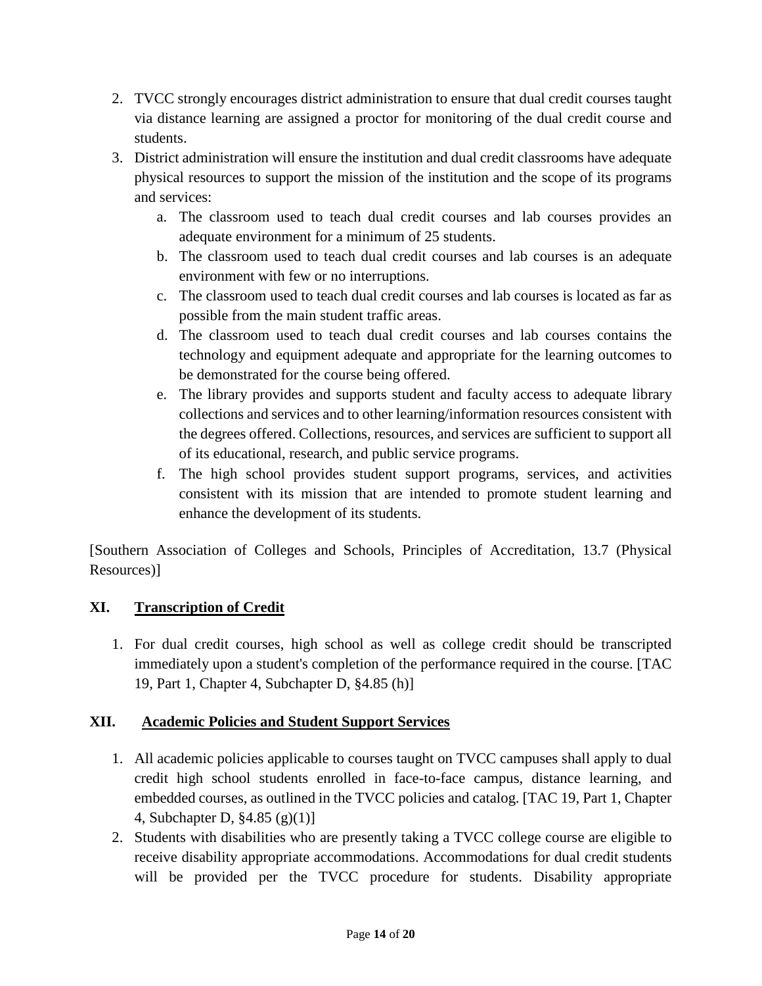- 2. TVCC strongly encourages district administration to ensure that dual credit courses taught via distance learning are assigned a proctor for monitoring of the dual credit course and students.
- 3. District administration will ensure the institution and dual credit classrooms have adequate physical resources to support the mission of the institution and the scope of its programs and services:
	- a. The classroom used to teach dual credit courses and lab courses provides an adequate environment for a minimum of 25 students.
	- b. The classroom used to teach dual credit courses and lab courses is an adequate environment with few or no interruptions.
	- c. The classroom used to teach dual credit courses and lab courses is located as far as possible from the main student traffic areas.
	- d. The classroom used to teach dual credit courses and lab courses contains the technology and equipment adequate and appropriate for the learning outcomes to be demonstrated for the course being offered.
	- e. The library provides and supports student and faculty access to adequate library collections and services and to other learning/information resources consistent with the degrees offered. Collections, resources, and services are sufficient to support all of its educational, research, and public service programs.
	- f. The high school provides student support programs, services, and activities consistent with its mission that are intended to promote student learning and enhance the development of its students.

[Southern Association of Colleges and Schools, Principles of Accreditation, 13.7 (Physical Resources)]

## **XI. Transcription of Credit**

1. For dual credit courses, high school as well as college credit should be transcripted immediately upon a student's completion of the performance required in the course. [TAC 19, Part 1, Chapter 4, Subchapter D, §4.85 (h)]

## **XII. Academic Policies and Student Support Services**

- 1. All academic policies applicable to courses taught on TVCC campuses shall apply to dual credit high school students enrolled in face-to-face campus, distance learning, and embedded courses, as outlined in the TVCC policies and catalog. [TAC 19, Part 1, Chapter 4, Subchapter D, §4.85 (g)(1)]
- 2. Students with disabilities who are presently taking a TVCC college course are eligible to receive disability appropriate accommodations. Accommodations for dual credit students will be provided per the TVCC procedure for students. Disability appropriate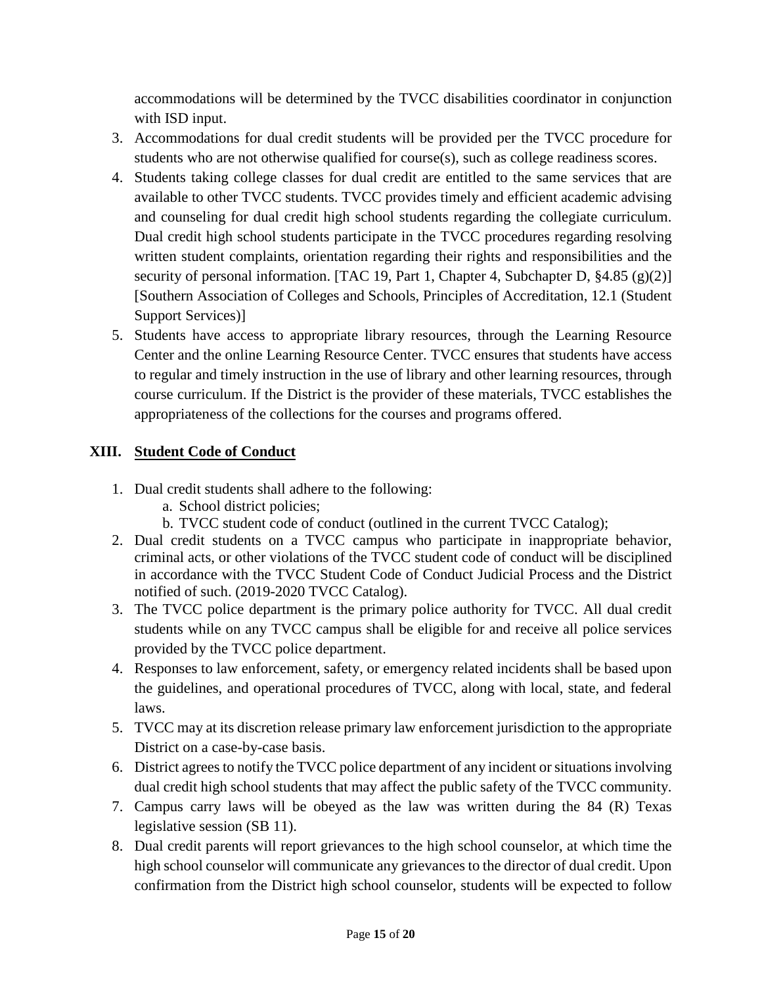accommodations will be determined by the TVCC disabilities coordinator in conjunction with ISD input.

- 3. Accommodations for dual credit students will be provided per the TVCC procedure for students who are not otherwise qualified for course(s), such as college readiness scores.
- 4. Students taking college classes for dual credit are entitled to the same services that are available to other TVCC students. TVCC provides timely and efficient academic advising and counseling for dual credit high school students regarding the collegiate curriculum. Dual credit high school students participate in the TVCC procedures regarding resolving written student complaints, orientation regarding their rights and responsibilities and the security of personal information. [TAC 19, Part 1, Chapter 4, Subchapter D, §4.85 (g)(2)] [Southern Association of Colleges and Schools, Principles of Accreditation, 12.1 (Student Support Services)]
- 5. Students have access to appropriate library resources, through the Learning Resource Center and the online Learning Resource Center. TVCC ensures that students have access to regular and timely instruction in the use of library and other learning resources, through course curriculum. If the District is the provider of these materials, TVCC establishes the appropriateness of the collections for the courses and programs offered.

## **XIII. Student Code of Conduct**

- 1. Dual credit students shall adhere to the following:
	- a. School district policies;
	- b. TVCC student code of conduct (outlined in the current TVCC Catalog);
- 2. Dual credit students on a TVCC campus who participate in inappropriate behavior, criminal acts, or other violations of the TVCC student code of conduct will be disciplined in accordance with the TVCC Student Code of Conduct Judicial Process and the District notified of such. (2019-2020 TVCC Catalog).
- 3. The TVCC police department is the primary police authority for TVCC. All dual credit students while on any TVCC campus shall be eligible for and receive all police services provided by the TVCC police department.
- 4. Responses to law enforcement, safety, or emergency related incidents shall be based upon the guidelines, and operational procedures of TVCC, along with local, state, and federal laws.
- 5. TVCC may at its discretion release primary law enforcement jurisdiction to the appropriate District on a case-by-case basis.
- 6. District agrees to notify the TVCC police department of any incident or situations involving dual credit high school students that may affect the public safety of the TVCC community.
- 7. Campus carry laws will be obeyed as the law was written during the 84 (R) Texas legislative session (SB 11).
- 8. Dual credit parents will report grievances to the high school counselor, at which time the high school counselor will communicate any grievances to the director of dual credit. Upon confirmation from the District high school counselor, students will be expected to follow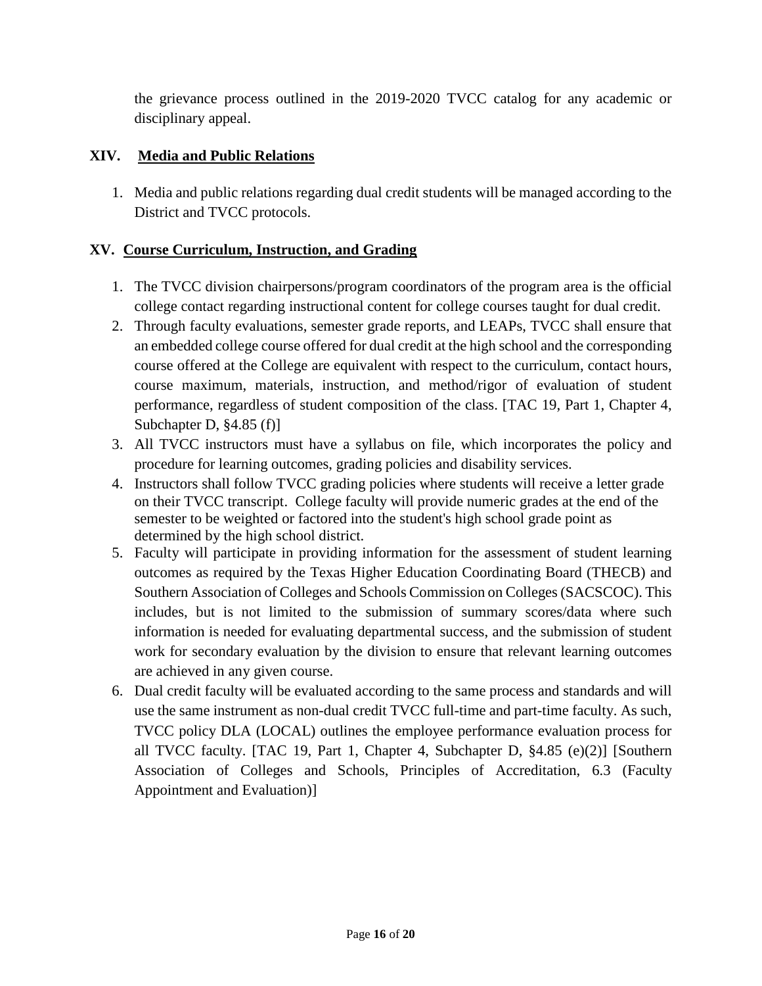the grievance process outlined in the 2019-2020 TVCC catalog for any academic or disciplinary appeal.

### **XIV. Media and Public Relations**

1. Media and public relations regarding dual credit students will be managed according to the District and TVCC protocols.

### **XV. Course Curriculum, Instruction, and Grading**

- 1. The TVCC division chairpersons/program coordinators of the program area is the official college contact regarding instructional content for college courses taught for dual credit.
- 2. Through faculty evaluations, semester grade reports, and LEAPs, TVCC shall ensure that an embedded college course offered for dual credit at the high school and the corresponding course offered at the College are equivalent with respect to the curriculum, contact hours, course maximum, materials, instruction, and method/rigor of evaluation of student performance, regardless of student composition of the class. [TAC 19, Part 1, Chapter 4, Subchapter D, §4.85 (f)]
- 3. All TVCC instructors must have a syllabus on file, which incorporates the policy and procedure for learning outcomes, grading policies and disability services.
- 4. Instructors shall follow TVCC grading policies where students will receive a letter grade on their TVCC transcript. College faculty will provide numeric grades at the end of the semester to be weighted or factored into the student's high school grade point as determined by the high school district.
- 5. Faculty will participate in providing information for the assessment of student learning outcomes as required by the Texas Higher Education Coordinating Board (THECB) and Southern Association of Colleges and Schools Commission on Colleges(SACSCOC). This includes, but is not limited to the submission of summary scores/data where such information is needed for evaluating departmental success, and the submission of student work for secondary evaluation by the division to ensure that relevant learning outcomes are achieved in any given course.
- 6. Dual credit faculty will be evaluated according to the same process and standards and will use the same instrument as non-dual credit TVCC full-time and part-time faculty. As such, TVCC policy DLA (LOCAL) outlines the employee performance evaluation process for all TVCC faculty. [TAC 19, Part 1, Chapter 4, Subchapter D, §4.85 (e)(2)] [Southern Association of Colleges and Schools, Principles of Accreditation, 6.3 (Faculty Appointment and Evaluation)]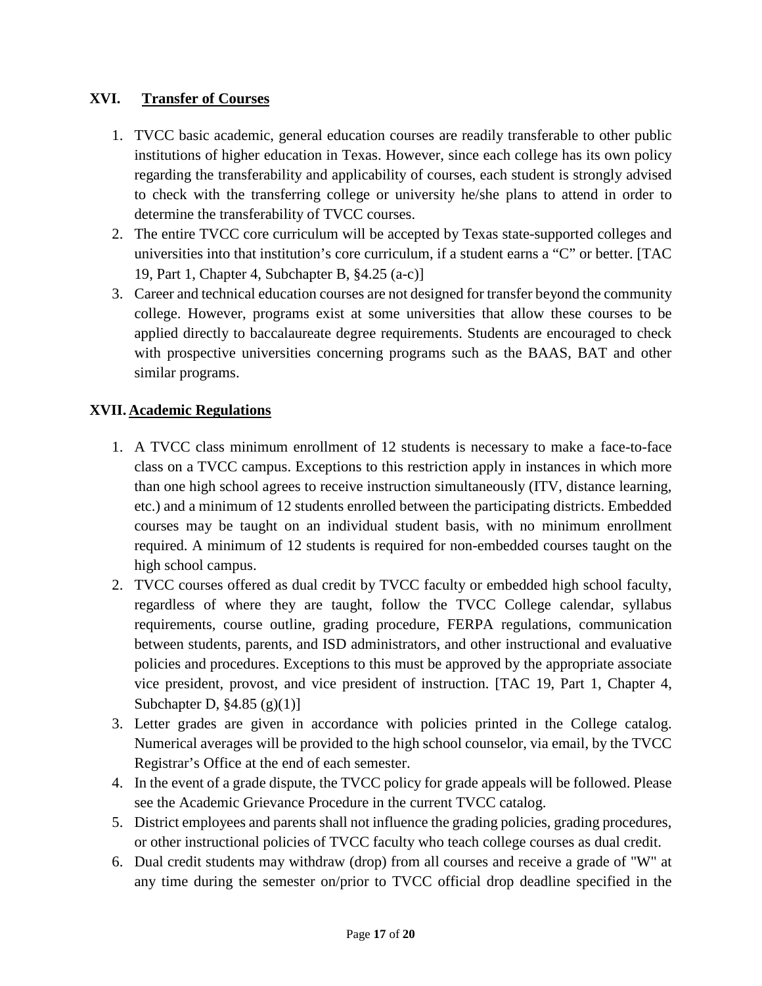### **XVI. Transfer of Courses**

- 1. TVCC basic academic, general education courses are readily transferable to other public institutions of higher education in Texas. However, since each college has its own policy regarding the transferability and applicability of courses, each student is strongly advised to check with the transferring college or university he/she plans to attend in order to determine the transferability of TVCC courses.
- 2. The entire TVCC core curriculum will be accepted by Texas state-supported colleges and universities into that institution's core curriculum, if a student earns a "C" or better. [TAC 19, Part 1, Chapter 4, Subchapter B, §4.25 (a-c)]
- 3. Career and technical education courses are not designed for transfer beyond the community college. However, programs exist at some universities that allow these courses to be applied directly to baccalaureate degree requirements. Students are encouraged to check with prospective universities concerning programs such as the BAAS, BAT and other similar programs.

### **XVII. Academic Regulations**

- 1. A TVCC class minimum enrollment of 12 students is necessary to make a face-to-face class on a TVCC campus. Exceptions to this restriction apply in instances in which more than one high school agrees to receive instruction simultaneously (ITV, distance learning, etc.) and a minimum of 12 students enrolled between the participating districts. Embedded courses may be taught on an individual student basis, with no minimum enrollment required. A minimum of 12 students is required for non-embedded courses taught on the high school campus.
- 2. TVCC courses offered as dual credit by TVCC faculty or embedded high school faculty, regardless of where they are taught, follow the TVCC College calendar, syllabus requirements, course outline, grading procedure, FERPA regulations, communication between students, parents, and ISD administrators, and other instructional and evaluative policies and procedures. Exceptions to this must be approved by the appropriate associate vice president, provost, and vice president of instruction. [TAC 19, Part 1, Chapter 4, Subchapter D, §4.85 (g)(1)]
- 3. Letter grades are given in accordance with policies printed in the College catalog. Numerical averages will be provided to the high school counselor, via email, by the TVCC Registrar's Office at the end of each semester.
- 4. In the event of a grade dispute, the TVCC policy for grade appeals will be followed. Please see the Academic Grievance Procedure in the current TVCC catalog.
- 5. District employees and parents shall not influence the grading policies, grading procedures, or other instructional policies of TVCC faculty who teach college courses as dual credit.
- 6. Dual credit students may withdraw (drop) from all courses and receive a grade of "W" at any time during the semester on/prior to TVCC official drop deadline specified in the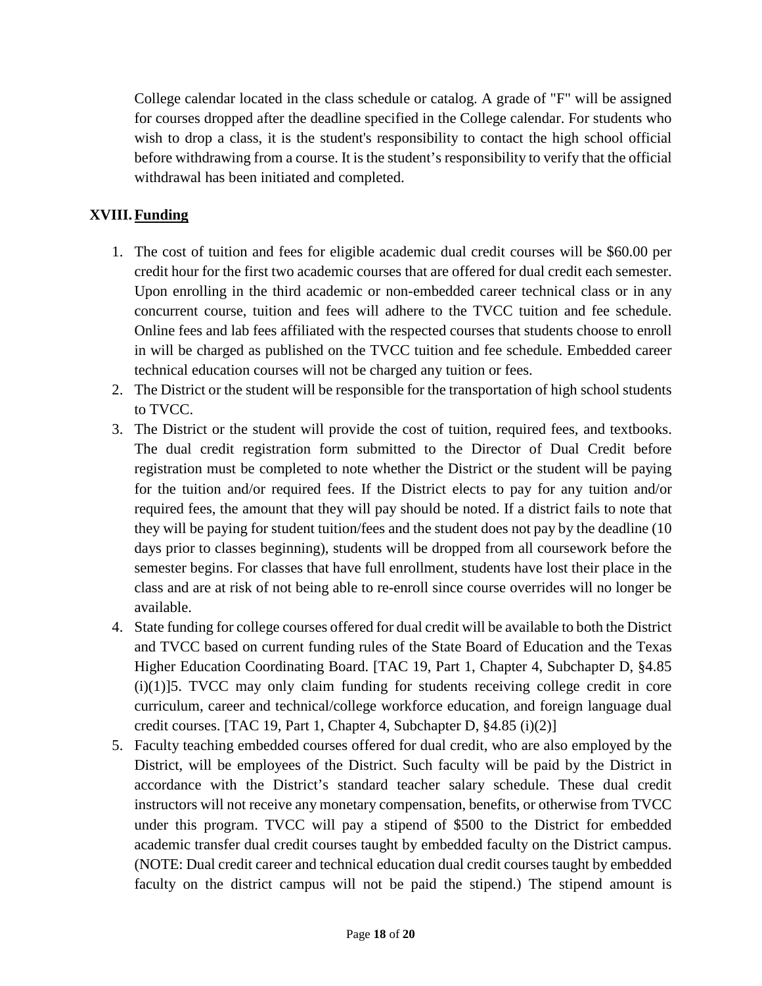College calendar located in the class schedule or catalog. A grade of "F" will be assigned for courses dropped after the deadline specified in the College calendar. For students who wish to drop a class, it is the student's responsibility to contact the high school official before withdrawing from a course. It is the student's responsibility to verify that the official withdrawal has been initiated and completed.

### **XVIII.Funding**

- 1. The cost of tuition and fees for eligible academic dual credit courses will be \$60.00 per credit hour for the first two academic courses that are offered for dual credit each semester. Upon enrolling in the third academic or non-embedded career technical class or in any concurrent course, tuition and fees will adhere to the TVCC tuition and fee schedule. Online fees and lab fees affiliated with the respected courses that students choose to enroll in will be charged as published on the TVCC tuition and fee schedule. Embedded career technical education courses will not be charged any tuition or fees.
- 2. The District or the student will be responsible for the transportation of high school students to TVCC.
- 3. The District or the student will provide the cost of tuition, required fees, and textbooks. The dual credit registration form submitted to the Director of Dual Credit before registration must be completed to note whether the District or the student will be paying for the tuition and/or required fees. If the District elects to pay for any tuition and/or required fees, the amount that they will pay should be noted. If a district fails to note that they will be paying for student tuition/fees and the student does not pay by the deadline (10 days prior to classes beginning), students will be dropped from all coursework before the semester begins. For classes that have full enrollment, students have lost their place in the class and are at risk of not being able to re-enroll since course overrides will no longer be available.
- 4. State funding for college courses offered for dual credit will be available to both the District and TVCC based on current funding rules of the State Board of Education and the Texas Higher Education Coordinating Board. [TAC 19, Part 1, Chapter 4, Subchapter D, §4.85  $(i)(1)$ ]5. TVCC may only claim funding for students receiving college credit in core curriculum, career and technical/college workforce education, and foreign language dual credit courses. [TAC 19, Part 1, Chapter 4, Subchapter D, §4.85 (i)(2)]
- 5. Faculty teaching embedded courses offered for dual credit, who are also employed by the District, will be employees of the District. Such faculty will be paid by the District in accordance with the District's standard teacher salary schedule. These dual credit instructors will not receive any monetary compensation, benefits, or otherwise from TVCC under this program. TVCC will pay a stipend of \$500 to the District for embedded academic transfer dual credit courses taught by embedded faculty on the District campus. (NOTE: Dual credit career and technical education dual credit courses taught by embedded faculty on the district campus will not be paid the stipend.) The stipend amount is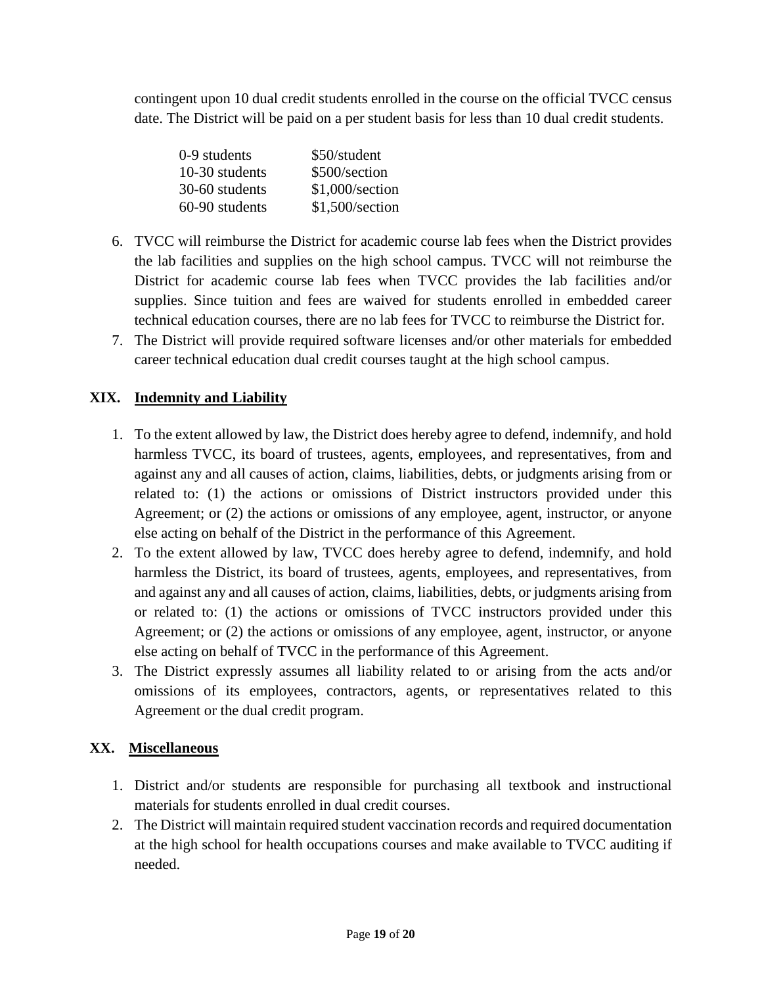contingent upon 10 dual credit students enrolled in the course on the official TVCC census date. The District will be paid on a per student basis for less than 10 dual credit students.

| 0-9 students   | \$50/student    |
|----------------|-----------------|
| 10-30 students | \$500/section   |
| 30-60 students | \$1,000/section |
| 60-90 students | \$1,500/section |

- 6. TVCC will reimburse the District for academic course lab fees when the District provides the lab facilities and supplies on the high school campus. TVCC will not reimburse the District for academic course lab fees when TVCC provides the lab facilities and/or supplies. Since tuition and fees are waived for students enrolled in embedded career technical education courses, there are no lab fees for TVCC to reimburse the District for.
- 7. The District will provide required software licenses and/or other materials for embedded career technical education dual credit courses taught at the high school campus.

## **XIX. Indemnity and Liability**

- 1. To the extent allowed by law, the District does hereby agree to defend, indemnify, and hold harmless TVCC, its board of trustees, agents, employees, and representatives, from and against any and all causes of action, claims, liabilities, debts, or judgments arising from or related to: (1) the actions or omissions of District instructors provided under this Agreement; or (2) the actions or omissions of any employee, agent, instructor, or anyone else acting on behalf of the District in the performance of this Agreement.
- 2. To the extent allowed by law, TVCC does hereby agree to defend, indemnify, and hold harmless the District, its board of trustees, agents, employees, and representatives, from and against any and all causes of action, claims, liabilities, debts, or judgments arising from or related to: (1) the actions or omissions of TVCC instructors provided under this Agreement; or (2) the actions or omissions of any employee, agent, instructor, or anyone else acting on behalf of TVCC in the performance of this Agreement.
- 3. The District expressly assumes all liability related to or arising from the acts and/or omissions of its employees, contractors, agents, or representatives related to this Agreement or the dual credit program.

### **XX. Miscellaneous**

- 1. District and/or students are responsible for purchasing all textbook and instructional materials for students enrolled in dual credit courses.
- 2. The District will maintain required student vaccination records and required documentation at the high school for health occupations courses and make available to TVCC auditing if needed.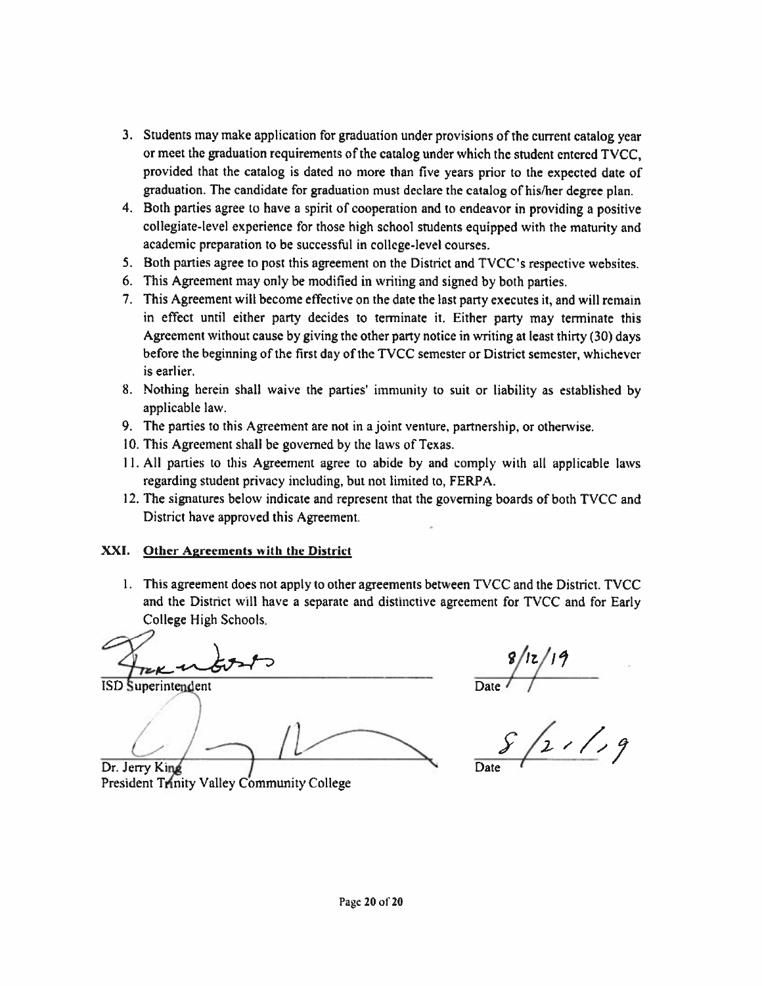- 3. Students may make application for graduation under provisions of the current catalog year or meet the graduation requirements of the catalog under which the student entered TVCC. provided that the catalog is dated no more than five years prior to the expected date of graduation. The candidate for graduation must declare the catalog of his/her degree plan.
- 4. Both parties agree to have a spirit of cooperation and to endeavor in providing a positive collegiate-level experience for those high school students equipped with the maturity and academic preparation to be successful in college-level courses.
- 5. Both parties agree to post this agreement on the District and TVCC's respective websites.
- 6. This Agreement may only be modified in writing and signed by both parties.
- 7. This Agreement will become effective on the date the last party executes it, and will remain in effect until either party decides to terminate it. Either party may terminate this Agreement without cause by giving the other party notice in writing at least thirty (30) days before the beginning of the first day of the TVCC semester or District semester, whichever is earlier.
- 8. Nothing herein shall waive the parties' immunity to suit or liability as established by applicable law.
- 9. The parties to this Agreement are not in a joint venture, partnership, or otherwise.
- 10. This Agreement shall be governed by the laws of Texas.
- 11. All parties to this Agreement agree to abide by and comply with all applicable laws regarding student privacy including, but not limited to, FERPA.
- 12. The signatures below indicate and represent that the governing boards of both TVCC and District have approved this Agreement.

#### XXI. Other Agreements with the District

1. This agreement does not apply to other agreements between TVCC and the District. TVCC and the District will have a separate and distinctive agreement for TVCC and for Early College High Schools.

**ISD** Superintendent

Dr. Jerry King

 $\frac{1}{2}$  /2 ///9

President Trinity Valley Community College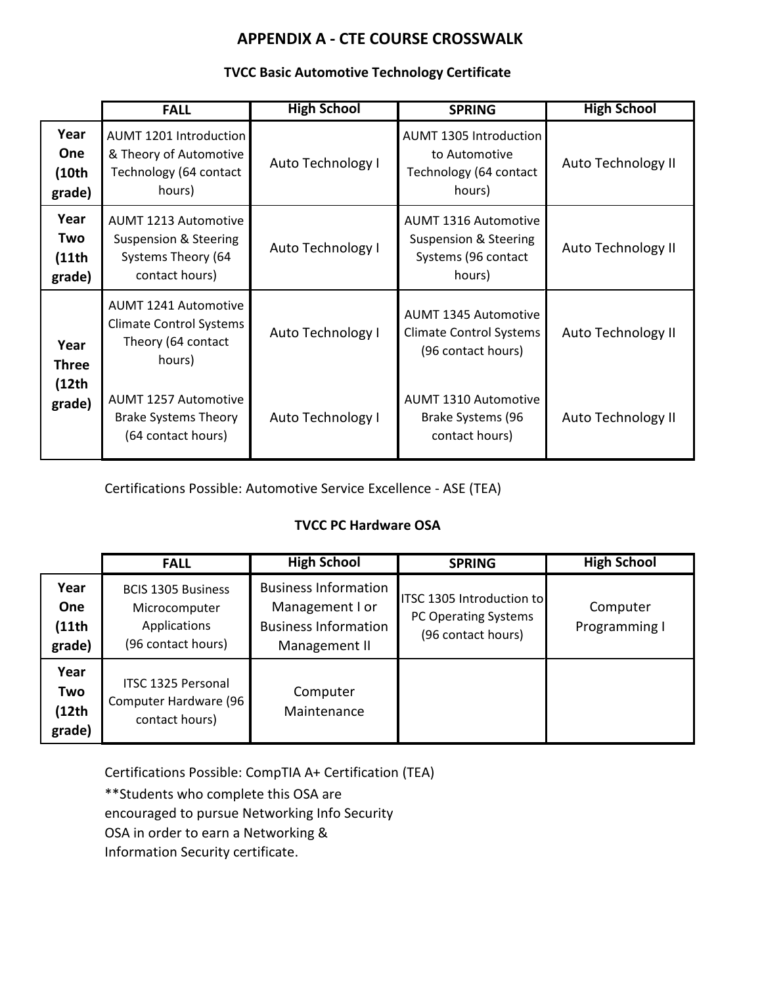### **TVCC Basic Automotive Technology Certificate**

|                                       | <b>FALL</b>                                                                                  | <b>High School</b> | <b>SPRING</b>                                                                         | <b>High School</b> |
|---------------------------------------|----------------------------------------------------------------------------------------------|--------------------|---------------------------------------------------------------------------------------|--------------------|
| Year<br><b>One</b><br>(10th<br>grade) | AUMT 1201 Introduction<br>& Theory of Automotive<br>Technology (64 contact<br>hours)         | Auto Technology I  | <b>AUMT 1305 Introduction</b><br>to Automotive<br>Technology (64 contact<br>hours)    | Auto Technology II |
| Year<br>Two<br>(11th<br>grade)        | <b>AUMT 1213 Automotive</b><br>Suspension & Steering<br>Systems Theory (64<br>contact hours) | Auto Technology I  | <b>AUMT 1316 Automotive</b><br>Suspension & Steering<br>Systems (96 contact<br>hours) | Auto Technology II |
| Year<br><b>Three</b>                  | <b>AUMT 1241 Automotive</b><br>Climate Control Systems<br>Theory (64 contact<br>hours)       | Auto Technology I  | <b>AUMT 1345 Automotive</b><br><b>Climate Control Systems</b><br>(96 contact hours)   | Auto Technology II |
| (12th)<br>grade)                      | <b>AUMT 1257 Automotive</b><br><b>Brake Systems Theory</b><br>(64 contact hours)             | Auto Technology I  | <b>AUMT 1310 Automotive</b><br>Brake Systems (96<br>contact hours)                    | Auto Technology II |

Certifications Possible: Automotive Service Excellence - ASE (TEA)

### **TVCC PC Hardware OSA**

|                                | <b>FALL</b>                                                                      | <b>High School</b>                                                                             | <b>SPRING</b>                                                           | <b>High School</b>        |
|--------------------------------|----------------------------------------------------------------------------------|------------------------------------------------------------------------------------------------|-------------------------------------------------------------------------|---------------------------|
| Year<br>One<br>(11th<br>grade) | <b>BCIS 1305 Business</b><br>Microcomputer<br>Applications<br>(96 contact hours) | <b>Business Information</b><br>Management I or<br><b>Business Information</b><br>Management II | ITSC 1305 Introduction to<br>PC Operating Systems<br>(96 contact hours) | Computer<br>Programming I |
| Year<br>Two<br>(12th<br>grade) | ITSC 1325 Personal<br>Computer Hardware (96<br>contact hours)                    | Computer<br>Maintenance                                                                        |                                                                         |                           |

Certifications Possible: CompTIA A+ Certification (TEA)

\*\*Students who complete this OSA are

encouraged to pursue Networking Info Security

OSA in order to earn a Networking &

Information Security certificate.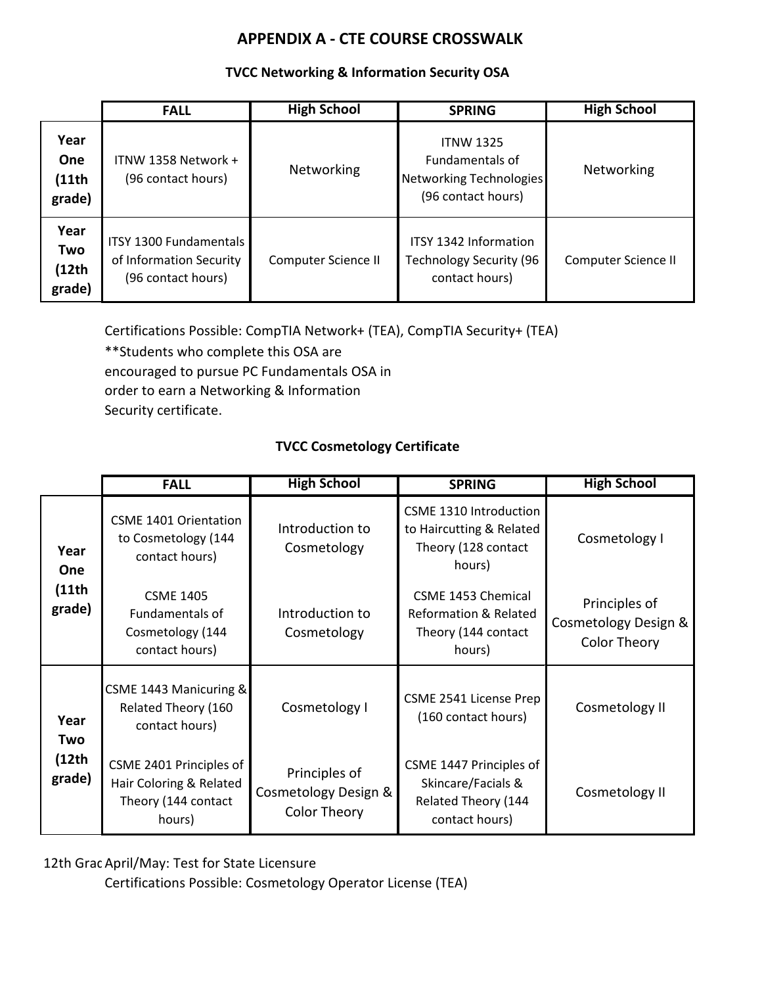#### **TVCC Networking & Information Security OSA**

|                                 | <b>FALL</b>                                                             | <b>High School</b>  | <b>SPRING</b>                                                                               | <b>High School</b>  |
|---------------------------------|-------------------------------------------------------------------------|---------------------|---------------------------------------------------------------------------------------------|---------------------|
| Year<br>One<br>(11th)<br>grade) | ITNW 1358 Network +<br>(96 contact hours)                               | Networking          | <b>ITNW 1325</b><br><b>Fundamentals of</b><br>Networking Technologies<br>(96 contact hours) | Networking          |
| Year<br>Two<br>(12th)<br>grade) | ITSY 1300 Fundamentals<br>of Information Security<br>(96 contact hours) | Computer Science II | <b>ITSY 1342 Information</b><br><b>Technology Security (96</b><br>contact hours)            | Computer Science II |

Certifications Possible: CompTIA Network+ (TEA), CompTIA Security+ (TEA)

\*\*Students who complete this OSA are encouraged to pursue PC Fundamentals OSA in order to earn a Networking & Information Security certificate.

## **TVCC Cosmetology Certificate**

|                    | <b>FALL</b>                                                                         | <b>High School</b>                                           | <b>SPRING</b>                                                                           | <b>High School</b>                                           |
|--------------------|-------------------------------------------------------------------------------------|--------------------------------------------------------------|-----------------------------------------------------------------------------------------|--------------------------------------------------------------|
| Year<br><b>One</b> | <b>CSME 1401 Orientation</b><br>to Cosmetology (144<br>contact hours)               | Introduction to<br>Cosmetology                               | CSME 1310 Introduction<br>to Haircutting & Related<br>Theory (128 contact<br>hours)     | Cosmetology I                                                |
| (11th)<br>grade)   | <b>CSME 1405</b><br>Fundamentals of<br>Cosmetology (144<br>contact hours)           | Introduction to<br>Cosmetology                               | CSME 1453 Chemical<br><b>Reformation &amp; Related</b><br>Theory (144 contact<br>hours) | Principles of<br>Cosmetology Design &<br><b>Color Theory</b> |
| Year<br>Two        | CSME 1443 Manicuring &<br>Related Theory (160<br>contact hours)                     | Cosmetology I                                                | CSME 2541 License Prep<br>(160 contact hours)                                           | Cosmetology II                                               |
| (12th)<br>grade)   | CSME 2401 Principles of<br>Hair Coloring & Related<br>Theory (144 contact<br>hours) | Principles of<br>Cosmetology Design &<br><b>Color Theory</b> | CSME 1447 Principles of<br>Skincare/Facials &<br>Related Theory (144<br>contact hours)  | Cosmetology II                                               |

12th Grac April/May: Test for State Licensure

Certifications Possible: Cosmetology Operator License (TEA)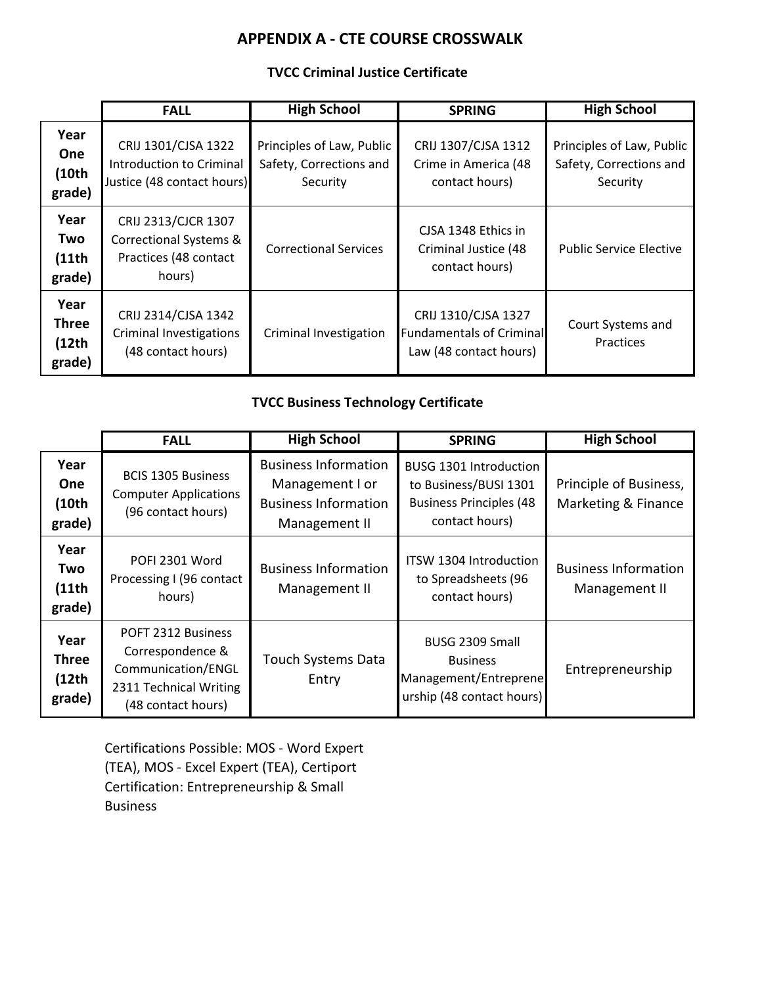### **TVCC Criminal Justice Certificate**

|                                          | <b>FALL</b>                                                                      | <b>High School</b>                                               | <b>SPRING</b>                                                                    | <b>High School</b>                                               |
|------------------------------------------|----------------------------------------------------------------------------------|------------------------------------------------------------------|----------------------------------------------------------------------------------|------------------------------------------------------------------|
| Year<br><b>One</b><br>(10th<br>grade)    | CRIJ 1301/CJSA 1322<br>Introduction to Criminal<br>Justice (48 contact hours)    | Principles of Law, Public<br>Safety, Corrections and<br>Security | CRIJ 1307/CJSA 1312<br>Crime in America (48<br>contact hours)                    | Principles of Law, Public<br>Safety, Corrections and<br>Security |
| Year<br>Two<br>(11th<br>grade)           | CRIJ 2313/CJCR 1307<br>Correctional Systems &<br>Practices (48 contact<br>hours) | <b>Correctional Services</b>                                     | CJSA 1348 Ethics in<br>Criminal Justice (48<br>contact hours)                    | <b>Public Service Elective</b>                                   |
| Year<br><b>Three</b><br>(12th)<br>grade) | CRIJ 2314/CJSA 1342<br><b>Criminal Investigations</b><br>(48 contact hours)      | Criminal Investigation                                           | CRIJ 1310/CJSA 1327<br><b>Fundamentals of Criminal</b><br>Law (48 contact hours) | Court Systems and<br>Practices                                   |

### **TVCC Business Technology Certificate**

|                                          | <b>FALL</b>                                                                                                  | <b>High School</b>                                                                             | <b>SPRING</b>                                                                                       | <b>High School</b>                            |
|------------------------------------------|--------------------------------------------------------------------------------------------------------------|------------------------------------------------------------------------------------------------|-----------------------------------------------------------------------------------------------------|-----------------------------------------------|
| Year<br><b>One</b><br>(10th<br>grade)    | <b>BCIS 1305 Business</b><br><b>Computer Applications</b><br>(96 contact hours)                              | <b>Business Information</b><br>Management I or<br><b>Business Information</b><br>Management II | BUSG 1301 Introduction<br>to Business/BUSI 1301<br><b>Business Principles (48</b><br>contact hours) | Principle of Business,<br>Marketing & Finance |
| Year<br>Two<br>(11th<br>grade)           | POFI 2301 Word<br>Processing I (96 contact<br>hours)                                                         | <b>Business Information</b><br>Management II                                                   | ITSW 1304 Introduction<br>to Spreadsheets (96<br>contact hours)                                     | <b>Business Information</b><br>Management II  |
| Year<br><b>Three</b><br>(12th)<br>grade) | POFT 2312 Business<br>Correspondence &<br>Communication/ENGL<br>2311 Technical Writing<br>(48 contact hours) | <b>Touch Systems Data</b><br>Entry                                                             | BUSG 2309 Small<br><b>Business</b><br>Management/Entreprene<br>urship (48 contact hours)            | Entrepreneurship                              |

Certifications Possible: MOS - Word Expert (TEA), MOS - Excel Expert (TEA), Certiport Certification: Entrepreneurship & Small Business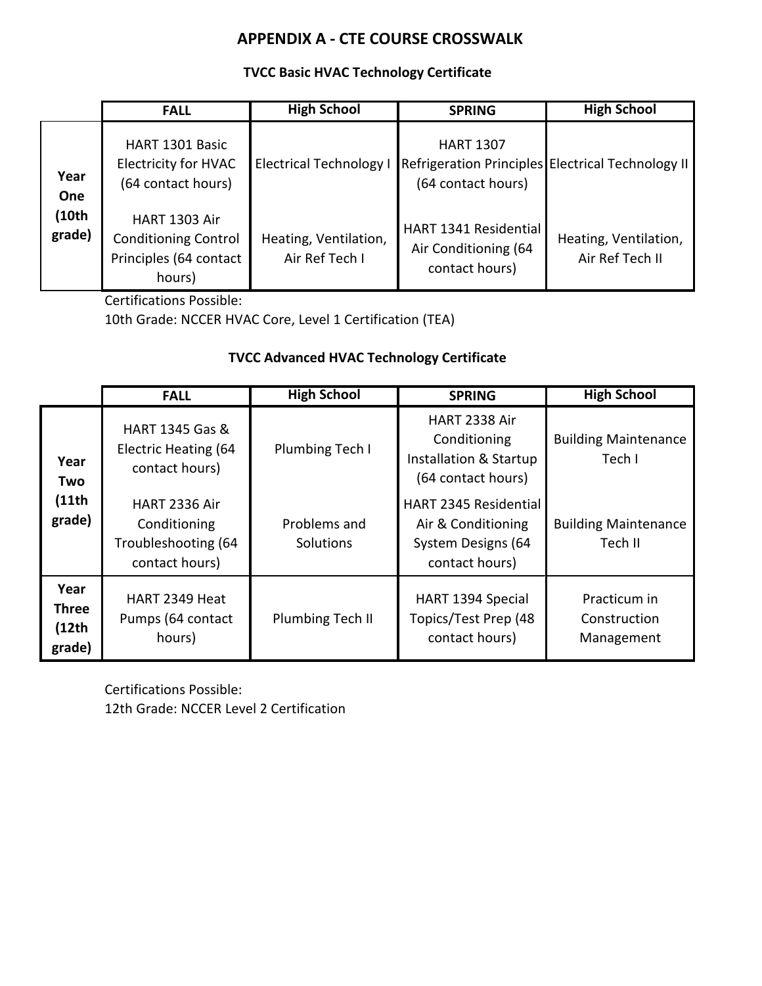### **TVCC Basic HVAC Technology Certificate**

|                 | <b>FALL</b>                                                                             | <b>High School</b>                      | <b>SPRING</b>                                                                               | <b>High School</b>                       |
|-----------------|-----------------------------------------------------------------------------------------|-----------------------------------------|---------------------------------------------------------------------------------------------|------------------------------------------|
| Year<br>One     | HART 1301 Basic<br><b>Electricity for HVAC</b><br>(64 contact hours)                    | <b>Electrical Technology I</b>          | <b>HART 1307</b><br>Refrigeration Principles Electrical Technology II<br>(64 contact hours) |                                          |
| (10th<br>grade) | <b>HART 1303 Air</b><br><b>Conditioning Control</b><br>Principles (64 contact<br>hours) | Heating, Ventilation,<br>Air Ref Tech I | HART 1341 Residential<br>Air Conditioning (64<br>contact hours)                             | Heating, Ventilation,<br>Air Ref Tech II |

Certifications Possible:

10th Grade: NCCER HVAC Core, Level 1 Certification (TEA)

### **TVCC Advanced HVAC Technology Certificate**

|                                         | <b>FALL</b>                                                                   | <b>High School</b>        | <b>SPRING</b>                                                                              | <b>High School</b>                         |
|-----------------------------------------|-------------------------------------------------------------------------------|---------------------------|--------------------------------------------------------------------------------------------|--------------------------------------------|
| Year<br>Two<br>(11th)<br>grade)         | HART 1345 Gas &<br>Electric Heating (64<br>contact hours)                     | Plumbing Tech I           | HART 2338 Air<br>Conditioning<br>Installation & Startup<br>(64 contact hours)              | <b>Building Maintenance</b><br>Tech I      |
|                                         | <b>HART 2336 Air</b><br>Conditioning<br>Troubleshooting (64<br>contact hours) | Problems and<br>Solutions | <b>HART 2345 Residential</b><br>Air & Conditioning<br>System Designs (64<br>contact hours) | <b>Building Maintenance</b><br>Tech II     |
| Year<br><b>Three</b><br>(12th<br>grade) | HART 2349 Heat<br>Pumps (64 contact<br>hours)                                 | Plumbing Tech II          | HART 1394 Special<br>Topics/Test Prep (48<br>contact hours)                                | Practicum in<br>Construction<br>Management |

Certifications Possible: 12th Grade: NCCER Level 2 Certification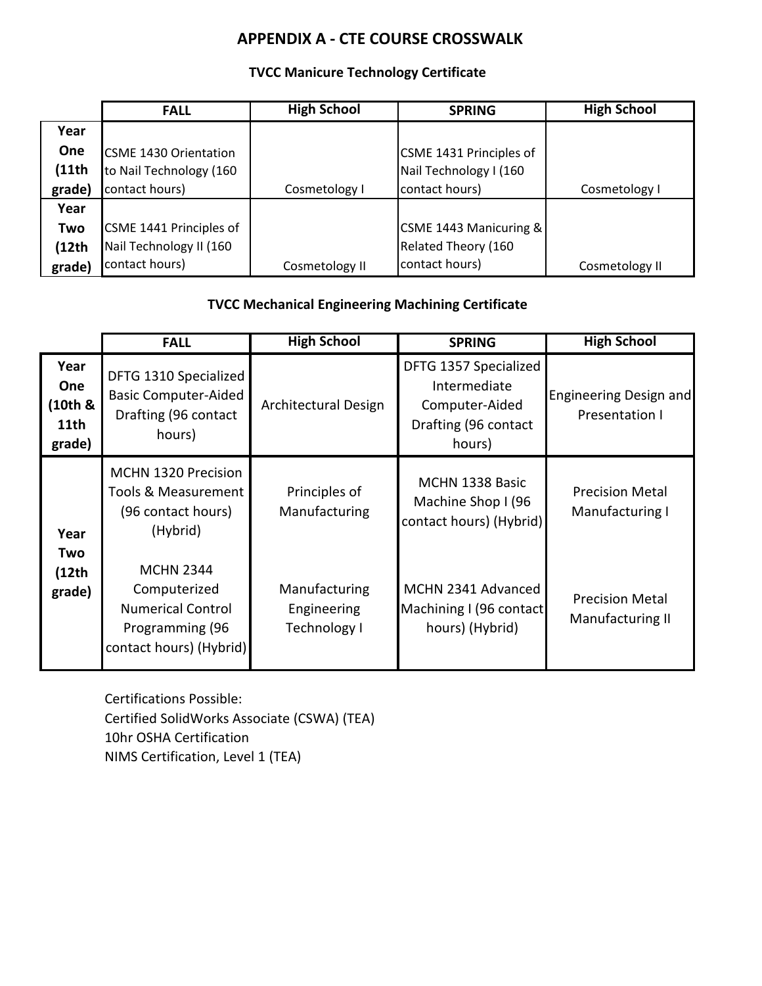## **TVCC Manicure Technology Certificate**

|        | <b>FALL</b>                  | <b>High School</b> | <b>SPRING</b>           | <b>High School</b> |
|--------|------------------------------|--------------------|-------------------------|--------------------|
| Year   |                              |                    |                         |                    |
| One    | <b>CSME 1430 Orientation</b> |                    | CSME 1431 Principles of |                    |
| (11th  | to Nail Technology (160      |                    | Nail Technology I (160  |                    |
| grade) | contact hours)               | Cosmetology I      | contact hours)          | Cosmetology I      |
| Year   |                              |                    |                         |                    |
| Two    | CSME 1441 Principles of      |                    | CSME 1443 Manicuring &  |                    |
| (12th  | Nail Technology II (160      |                    | Related Theory (160     |                    |
| grade) | contact hours)               | Cosmetology II     | contact hours)          | Cosmetology II     |

## **TVCC Mechanical Engineering Machining Certificate**

|                                          | <b>FALL</b>                                                                                                | <b>High School</b>                           | <b>SPRING</b>                                                                             | <b>High School</b>                         |
|------------------------------------------|------------------------------------------------------------------------------------------------------------|----------------------------------------------|-------------------------------------------------------------------------------------------|--------------------------------------------|
| Year<br>One<br>(10th &<br>11th<br>grade) | DFTG 1310 Specialized<br><b>Basic Computer-Aided</b><br>Drafting (96 contact<br>hours)                     | Architectural Design                         | DFTG 1357 Specialized<br>Intermediate<br>Computer-Aided<br>Drafting (96 contact<br>hours) | Engineering Design and<br>Presentation I   |
| Year                                     | <b>MCHN 1320 Precision</b><br>Tools & Measurement<br>(96 contact hours)<br>(Hybrid)                        | Principles of<br>Manufacturing               | MCHN 1338 Basic<br>Machine Shop I (96<br>contact hours) (Hybrid)                          | <b>Precision Metal</b><br>Manufacturing I  |
| Two<br>(12th)<br>grade)                  | <b>MCHN 2344</b><br>Computerized<br><b>Numerical Control</b><br>Programming (96<br>contact hours) (Hybrid) | Manufacturing<br>Engineering<br>Technology I | MCHN 2341 Advanced<br>Machining I (96 contact<br>hours) (Hybrid)                          | <b>Precision Metal</b><br>Manufacturing II |

Certifications Possible: Certified SolidWorks Associate (CSWA) (TEA) 10hr OSHA Certification NIMS Certification, Level 1 (TEA)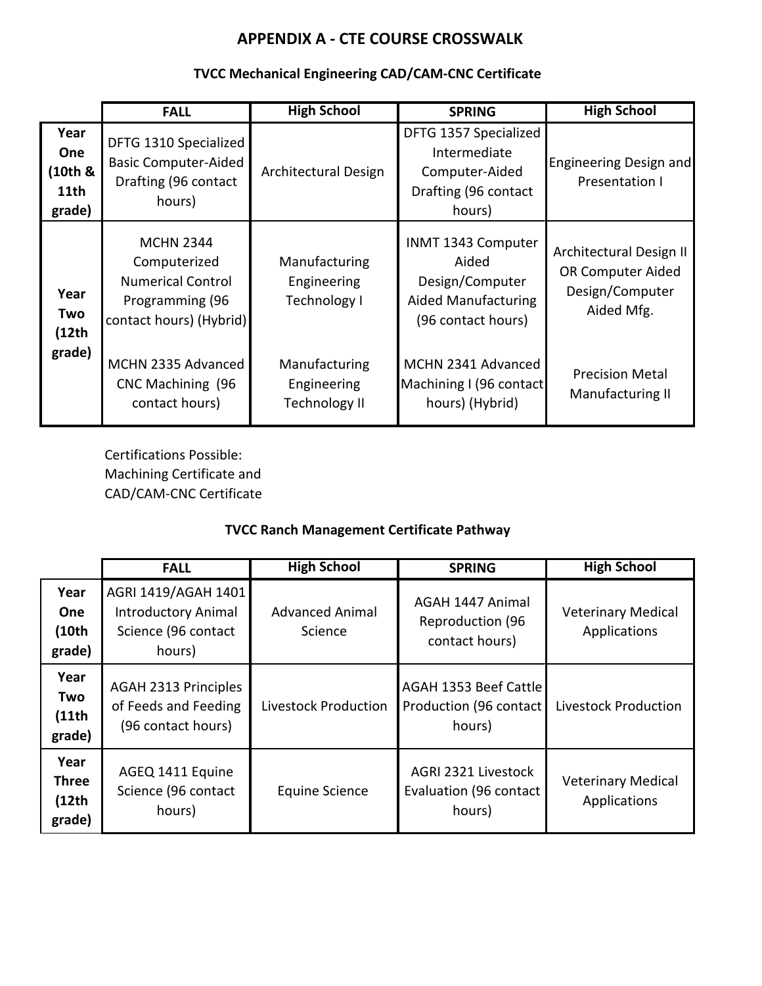## **TVCC Mechanical Engineering CAD/CAM-CNC Certificate**

|                                          | <b>FALL</b>                                                                                                | <b>High School</b>                                   | <b>SPRING</b>                                                                                      | <b>High School</b>                                                            |
|------------------------------------------|------------------------------------------------------------------------------------------------------------|------------------------------------------------------|----------------------------------------------------------------------------------------------------|-------------------------------------------------------------------------------|
| Year<br>One<br>(10th &<br>11th<br>grade) | DFTG 1310 Specialized<br><b>Basic Computer-Aided</b><br>Drafting (96 contact<br>hours)                     | Architectural Design                                 | DFTG 1357 Specialized<br>Intermediate<br>Computer-Aided<br>Drafting (96 contact<br>hours)          | Engineering Design and<br>Presentation I                                      |
| Year<br>Two<br>(12th)                    | <b>MCHN 2344</b><br>Computerized<br><b>Numerical Control</b><br>Programming (96<br>contact hours) (Hybrid) | Manufacturing<br>Engineering<br>Technology I         | INMT 1343 Computer<br>Aided<br>Design/Computer<br><b>Aided Manufacturing</b><br>(96 contact hours) | Architectural Design II<br>OR Computer Aided<br>Design/Computer<br>Aided Mfg. |
| grade)                                   | MCHN 2335 Advanced<br>CNC Machining (96<br>contact hours)                                                  | Manufacturing<br>Engineering<br><b>Technology II</b> | MCHN 2341 Advanced<br>Machining I (96 contact<br>hours) (Hybrid)                                   | <b>Precision Metal</b><br>Manufacturing II                                    |

Certifications Possible: Machining Certificate and CAD/CAM-CNC Certificate

## **TVCC Ranch Management Certificate Pathway**

|                                          | <b>FALL</b>                                                                        | <b>High School</b>                | <b>SPRING</b>                                                 | <b>High School</b>                        |
|------------------------------------------|------------------------------------------------------------------------------------|-----------------------------------|---------------------------------------------------------------|-------------------------------------------|
| Year<br><b>One</b><br>(10th<br>grade)    | AGRI 1419/AGAH 1401<br><b>Introductory Animal</b><br>Science (96 contact<br>hours) | <b>Advanced Animal</b><br>Science | AGAH 1447 Animal<br><b>Reproduction (96</b><br>contact hours) | <b>Veterinary Medical</b><br>Applications |
| Year<br>Two<br>(11th)<br>grade)          | <b>AGAH 2313 Principles</b><br>of Feeds and Feeding<br>(96 contact hours)          | Livestock Production              | AGAH 1353 Beef Cattle<br>Production (96 contact<br>hours)     | Livestock Production                      |
| Year<br><b>Three</b><br>(12th)<br>grade) | AGEQ 1411 Equine<br>Science (96 contact<br>hours)                                  | <b>Equine Science</b>             | AGRI 2321 Livestock<br>Evaluation (96 contact<br>hours)       | <b>Veterinary Medical</b><br>Applications |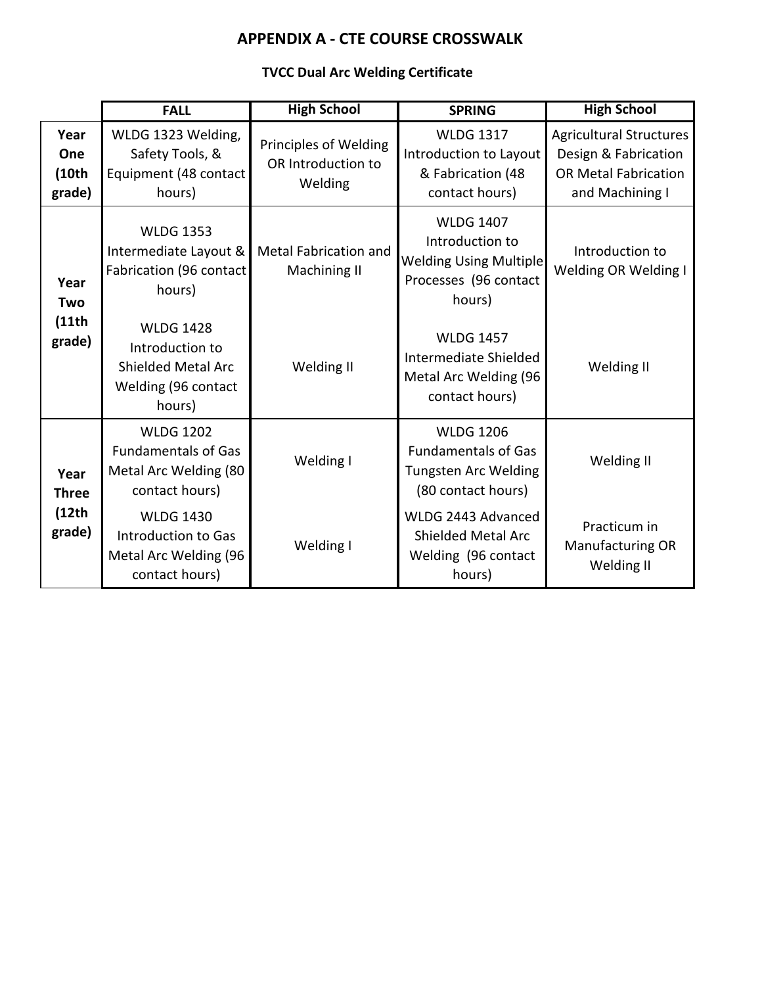## **TVCC Dual Arc Welding Certificate**

|                                          | <b>FALL</b>                                                                                       | <b>High School</b>                                     | <b>SPRING</b>                                                                                           | <b>High School</b>                                                                                       |
|------------------------------------------|---------------------------------------------------------------------------------------------------|--------------------------------------------------------|---------------------------------------------------------------------------------------------------------|----------------------------------------------------------------------------------------------------------|
| Year<br>One<br>(10th)<br>grade)          | WLDG 1323 Welding,<br>Safety Tools, &<br>Equipment (48 contact<br>hours)                          | Principles of Welding<br>OR Introduction to<br>Welding | <b>WLDG 1317</b><br>Introduction to Layout<br>& Fabrication (48<br>contact hours)                       | <b>Agricultural Structures</b><br>Design & Fabrication<br><b>OR Metal Fabrication</b><br>and Machining I |
| Year<br>Two<br>(11th)<br>grade)          | <b>WLDG 1353</b><br>Intermediate Layout &<br>Fabrication (96 contact<br>hours)                    | <b>Metal Fabrication and</b><br>Machining II           | <b>WLDG 1407</b><br>Introduction to<br><b>Welding Using Multiple</b><br>Processes (96 contact<br>hours) | Introduction to<br>Welding OR Welding I                                                                  |
|                                          | <b>WLDG 1428</b><br>Introduction to<br><b>Shielded Metal Arc</b><br>Welding (96 contact<br>hours) | Welding II                                             | <b>WLDG 1457</b><br>Intermediate Shielded<br>Metal Arc Welding (96<br>contact hours)                    | Welding II                                                                                               |
| Year<br><b>Three</b><br>(12th)<br>grade) | <b>WLDG 1202</b><br><b>Fundamentals of Gas</b><br>Metal Arc Welding (80<br>contact hours)         | Welding I                                              | <b>WLDG 1206</b><br><b>Fundamentals of Gas</b><br><b>Tungsten Arc Welding</b><br>(80 contact hours)     | Welding II                                                                                               |
|                                          | <b>WLDG 1430</b><br>Introduction to Gas<br>Metal Arc Welding (96<br>contact hours)                | Welding I                                              | WLDG 2443 Advanced<br><b>Shielded Metal Arc</b><br>Welding (96 contact<br>hours)                        | Practicum in<br><b>Manufacturing OR</b><br>Welding II                                                    |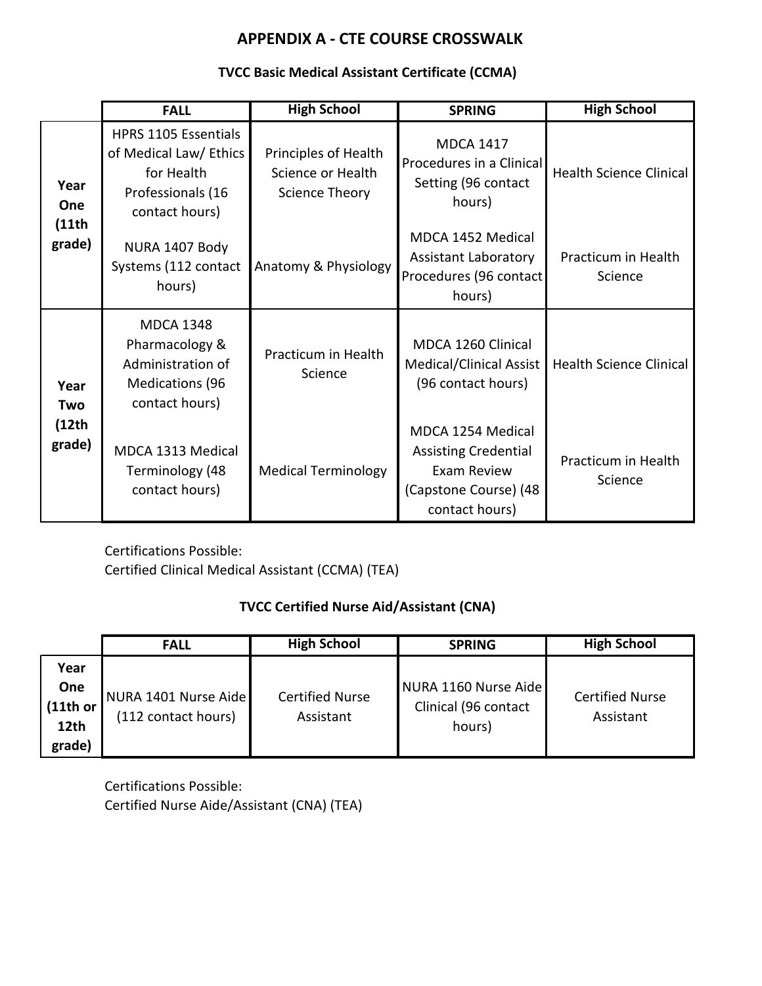### **TVCC Basic Medical Assistant Certificate (CCMA)**

|                                 | <b>FALL</b>                                                                                         | <b>High School</b>                                          | <b>SPRING</b>                                                                                              | <b>High School</b>             |
|---------------------------------|-----------------------------------------------------------------------------------------------------|-------------------------------------------------------------|------------------------------------------------------------------------------------------------------------|--------------------------------|
| Year<br>One<br>(11th)<br>grade) | HPRS 1105 Essentials<br>of Medical Law/ Ethics<br>for Health<br>Professionals (16<br>contact hours) | Principles of Health<br>Science or Health<br>Science Theory | <b>MDCA 1417</b><br>Procedures in a Clinical<br>Setting (96 contact<br>hours)                              | <b>Health Science Clinical</b> |
|                                 | NURA 1407 Body<br>Systems (112 contact<br>hours)                                                    | Anatomy & Physiology                                        | MDCA 1452 Medical<br><b>Assistant Laboratory</b><br>Procedures (96 contact<br>hours)                       | Practicum in Health<br>Science |
| Year<br>Two                     | <b>MDCA 1348</b><br>Pharmacology &<br>Administration of<br><b>Medications (96</b><br>contact hours) | Practicum in Health<br>Science                              | MDCA 1260 Clinical<br>Medical/Clinical Assist<br>(96 contact hours)                                        | <b>Health Science Clinical</b> |
| (12th)<br>grade)                | MDCA 1313 Medical<br>Terminology (48<br>contact hours)                                              | <b>Medical Terminology</b>                                  | MDCA 1254 Medical<br><b>Assisting Credential</b><br>Exam Review<br>(Capstone Course) (48<br>contact hours) | Practicum in Health<br>Science |

Certifications Possible: Certified Clinical Medical Assistant (CCMA) (TEA)

## **TVCC Certified Nurse Aid/Assistant (CNA)**

|          | <b>FALL</b>          | <b>High School</b>     | <b>SPRING</b>        | <b>High School</b>     |
|----------|----------------------|------------------------|----------------------|------------------------|
| Year     |                      |                        |                      |                        |
| One      | NURA 1401 Nurse Aide | <b>Certified Nurse</b> | NURA 1160 Nurse Aide | <b>Certified Nurse</b> |
| (11th or |                      |                        | Clinical (96 contact |                        |
| 12th     | (112 contact hours)  | Assistant              | hours)               | Assistant              |
| grade)   |                      |                        |                      |                        |

Certifications Possible: Certified Nurse Aide/Assistant (CNA) (TEA)